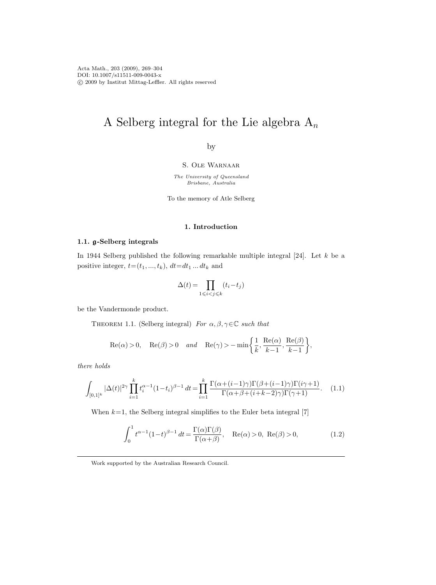# A Selberg integral for the Lie algebra  $A_n$

by

S. Ole Warnaar

The University of Queensland Brisbane, Australia

To the memory of Atle Selberg

## 1. Introduction

## 1.1. g-Selberg integrals

In 1944 Selberg published the following remarkable multiple integral [24]. Let k be a positive integer,  $t=(t_1, ..., t_k)$ ,  $dt=dt_1 ... dt_k$  and

$$
\Delta(t)=\prod_{1\leqslant i
$$

be the Vandermonde product.

THEOREM 1.1. (Selberg integral) For  $\alpha, \beta, \gamma \in \mathbb{C}$  such that

$$
\mathrm{Re}(\alpha)>0,\quad \mathrm{Re}(\beta)>0\quad and\quad \mathrm{Re}(\gamma)>-\min\biggl\{\frac{1}{k},\frac{\mathrm{Re}(\alpha)}{k-1},\frac{\mathrm{Re}(\beta)}{k-1}\biggr\},
$$

there holds

$$
\int_{[0,1]^k} |\Delta(t)|^{2\gamma} \prod_{i=1}^k t_i^{\alpha-1} (1-t_i)^{\beta-1} dt = \prod_{i=1}^k \frac{\Gamma(\alpha + (i-1)\gamma)\Gamma(\beta + (i-1)\gamma)\Gamma(i\gamma+1)}{\Gamma(\alpha + \beta + (i+k-2)\gamma)\Gamma(\gamma+1)}.
$$
 (1.1)

When  $k=1$ , the Selberg integral simplifies to the Euler beta integral [7]

$$
\int_0^1 t^{\alpha - 1} (1 - t)^{\beta - 1} dt = \frac{\Gamma(\alpha)\Gamma(\beta)}{\Gamma(\alpha + \beta)}, \quad \text{Re}(\alpha) > 0, \text{ Re}(\beta) > 0,
$$
 (1.2)

Work supported by the Australian Research Council.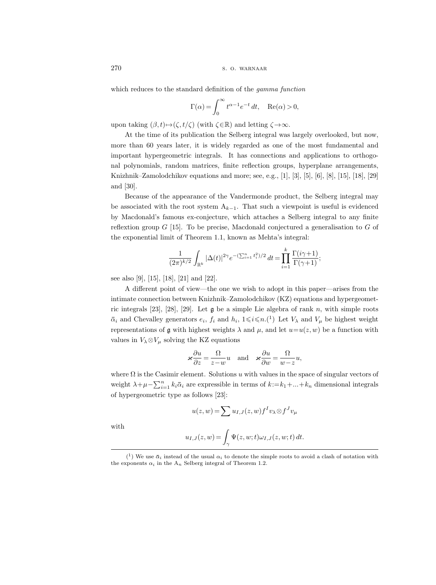which reduces to the standard definition of the *gamma function* 

$$
\Gamma(\alpha) = \int_0^\infty t^{\alpha - 1} e^{-t} dt, \quad \text{Re}(\alpha) > 0,
$$

upon taking  $(\beta, t) \mapsto (\zeta, t/\zeta)$  (with  $\zeta \in \mathbb{R}$ ) and letting  $\zeta \to \infty$ .

At the time of its publication the Selberg integral was largely overlooked, but now, more than 60 years later, it is widely regarded as one of the most fundamental and important hypergeometric integrals. It has connections and applications to orthogonal polynomials, random matrices, finite reflection groups, hyperplane arrangements, Knizhnik–Zamolodchikov equations and more; see, e.g., [1], [3], [5], [6], [8], [15], [18], [29] and [30].

Because of the appearance of the Vandermonde product, the Selberg integral may be associated with the root system  $A_{k-1}$ . That such a viewpoint is useful is evidenced by Macdonald's famous ex-conjecture, which attaches a Selberg integral to any finite reflextion group  $G$  [15]. To be precise, Macdonald conjectured a generalisation to  $G$  of the exponential limit of Theorem 1.1, known as Mehta's integral:

$$
\frac{1}{(2\pi)^{k/2}} \int_{\mathbb{R}^k} |\Delta(t)|^{2\gamma} e^{-(\sum_{i=1}^n t_i^2)/2} dt = \prod_{i=1}^k \frac{\Gamma(i\gamma+1)}{\Gamma(\gamma+1)};
$$

see also [9], [15], [18], [21] and [22].

A different point of view—the one we wish to adopt in this paper—arises from the intimate connection between Knizhnik–Zamolodchikov (KZ) equations and hypergeometric integrals [23], [28], [29]. Let  $\mathfrak g$  be a simple Lie algebra of rank n, with simple roots  $\bar{\alpha}_i$  and Chevalley generators  $e_i$ ,  $f_i$  and  $h_i$ ,  $1 \leq i \leq n$ .(1) Let  $V_\lambda$  and  $V_\mu$  be highest weight representations of g with highest weights  $\lambda$  and  $\mu$ , and let  $u=u(z, w)$  be a function with values in  $V_\lambda \otimes V_\mu$  solving the KZ equations

$$
\varkappa \frac{\partial u}{\partial z} = \frac{\Omega}{z - w} u \quad \text{and} \quad \varkappa \frac{\partial u}{\partial w} = \frac{\Omega}{w - z} u,
$$

where  $\Omega$  is the Casimir element. Solutions u with values in the space of singular vectors of weight  $\lambda + \mu - \sum_{i=1}^{n} k_i \bar{\alpha}_i$  are expressible in terms of  $k := k_1 + ... + k_n$  dimensional integrals of hypergeometric type as follows [23]: ergeometric type as follows [23]:<br>  $u(z, w) = \sum u_{I,J}(z, w) f^I v_\lambda \otimes f^J v_\mu$ <br>  $u_{I,J}(z, w) = \int_\gamma \Psi(z, w; t) \omega_{I,J}(z, w; t) dt.$ <br>
We use  $\bar{\alpha}_i$  instead of the usual  $\alpha_i$  to denote the simple roots to avoid a clash of notation with

$$
u(z, w) = \sum u_{I,J}(z, w) f^I v_\lambda \otimes f^J v_\mu
$$

with

$$
u_{I,J}(z,w) = \int_{\gamma} \Psi(z,w;t) \omega_{I,J}(z,w;t) dt.
$$

 $($ <sup>1</sup> the exponents  $\alpha_i$  in the A<sub>n</sub> Selberg integral of Theorem 1.2.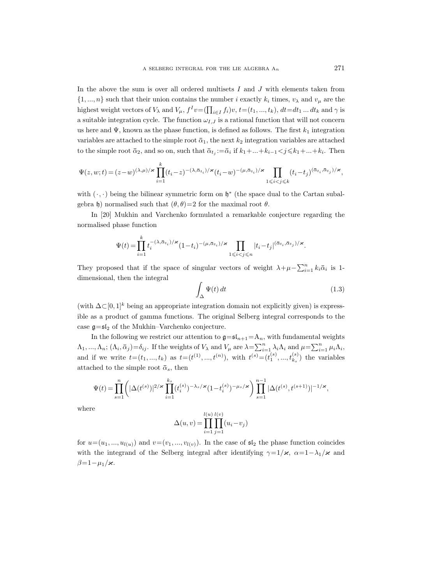In the above the sum is over all ordered multisets  $I$  and  $J$  with elements taken from  $\{1, ..., n\}$  such that their union contains the number i exactly  $k_i$  times,  $v_\lambda$  and  $v_\mu$  are the highest weight vectors of  $V_{\lambda}$  and  $V_{\mu}$ ,  $f^I v = (\prod_{i \in I} f_i)v$ ,  $t = (t_1, ..., t_k)$ ,  $dt = dt_1 ... dt_k$  and  $\gamma$  is a suitable integration cycle. The function  $\omega_{I,J}$  is a rational function that will not concern us here and  $\Psi$ , known as the phase function, is defined as follows. The first  $k_1$  integration variables are attached to the simple root  $\bar{\alpha}_1$ , the next  $k_2$  integration variables are attached to the simple root  $\bar{\alpha}_2$ , and so on, such that  $\bar{\alpha}_{t_j} := \bar{\alpha}_i$  if  $k_1 + ... + k_{i-1} < j \leq k_1 + ... + k_i$ . Then

$$
\Psi(z,w;t)=(z-w)^{(\lambda,\mu)/\varkappa}\prod_{i=1}^k(t_i-z)^{-(\lambda,\bar{\alpha}_{t_i})/\varkappa}(t_i-w)^{-(\mu,\bar{\alpha}_{t_i})/\varkappa}\prod_{1\leqslant i
$$

with  $(\cdot, \cdot)$  being the bilinear symmetric form on  $\mathfrak{h}^*$  (the space dual to the Cartan subalgebra h) normalised such that  $(\theta, \theta) = 2$  for the maximal root  $\theta$ .

In [20] Mukhin and Varchenko formulated a remarkable conjecture regarding the normalised phase function

$$
\Psi(t) = \prod_{i=1}^k t_i^{-(\lambda, \bar{\alpha}_{t_i})/\varkappa} (1-t_i)^{-(\mu, \bar{\alpha}_{t_i})/\varkappa} \prod_{1 \leqslant i < j \leqslant n} |t_i - t_j|^{(\bar{\alpha}_{t_i}, \bar{\alpha}_{t_j})/\varkappa}.
$$

They proposed that if the space of singular vectors of weight  $\lambda + \mu - \sum_{i=1}^{n} k_i \bar{\alpha}_i$  is 1dimensional, then the integral

$$
\int_{\Delta} \Psi(t) dt
$$
\n(1.3)

(with  $\Delta \subset [0, 1]^k$  being an appropriate integration domain not explicitly given) is expressible as a product of gamma functions. The original Selberg integral corresponds to the case  $\mathfrak{g}=\mathfrak{sl}_2$  of the Mukhin–Varchenko conjecture.

In the following we restrict our attention to  $g = \mathfrak{s}I_{n+1} = A_n$ , with fundamental weights  $\Lambda_1, ..., \Lambda_n$ ;  $(\Lambda_i, \bar{\alpha}_j) = \delta_{ij}$ . If the weights of  $V_\lambda$  and  $V_\mu$  are  $\lambda = \sum_{i=1}^n \lambda_i \Lambda_i$  and  $\mu = \sum_{i=1}^n \mu_i \Lambda_i$ , and if we write  $t=(t_1, ..., t_k)$  as  $t=(t^{(1)}, ..., t^{(n)}),$  with  $t^{(s)}=(t_1^{(s)}, ..., t_{k_s}^{(s)})$  the variables attached to the simple root  $\bar{\alpha}_s$ , then

$$
\Psi(t) = \prod_{s=1}^n \left( |\Delta(t^{(s)})|^{2/\varkappa} \prod_{i=1}^{k_s} (t_i^{(s)})^{-\lambda_s/\varkappa} (1-t_i^{(s)})^{-\mu_s/\varkappa} \right) \prod_{s=1}^{n-1} |\Delta(t^{(s)}, t^{(s+1)})|^{-1/\varkappa},
$$

where

$$
\Delta(u,v) = \prod_{i=1}^{l(u)} \prod_{j=1}^{l(v)} (u_i - v_j)
$$

for  $u=(u_1, ..., u_{l(u)})$  and  $v=(v_1, ..., v_{l(v)})$ . In the case of  $\mathfrak{sl}_2$  the phase function coincides with the integrand of the Selberg integral after identifying  $\gamma=1/\varkappa$ ,  $\alpha=1-\lambda_1/\varkappa$  and  $\beta=1-\mu_1/\varkappa$ .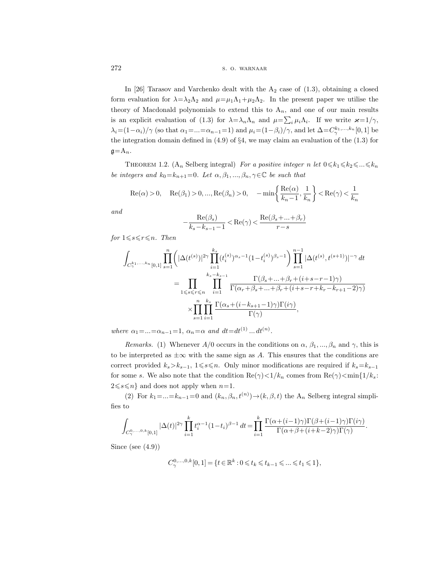In [26] Tarasov and Varchenko dealt with the  $A_2$  case of  $(1.3)$ , obtaining a closed form evaluation for  $\lambda = \lambda_2 \Lambda_2$  and  $\mu = \mu_1 \Lambda_1 + \mu_2 \Lambda_2$ . In the present paper we utilise the theory of Macdonald polynomials to extend this to  $A_n$ , and one of our main results is an explicit evaluation of (1.3) for  $\lambda = \lambda_n \Lambda_n$  and  $\mu = \sum_i \mu_i \Lambda_i$ . If we write  $\varkappa = 1/\gamma$ ,  $\lambda_i = (1 - \alpha_i)/\gamma$  (so that  $\alpha_1 = ... = \alpha_{n-1} = 1$ ) and  $\mu_i = (1 - \beta_i)/\gamma$ , and let  $\Delta = C_{\gamma}^{k_1, ..., k_n}[0, 1]$  be the integration domain defined in  $(4.9)$  of  $\S 4$ , we may claim an evaluation of the  $(1.3)$  for  $\mathfrak{g} = A_n$ .

THEOREM 1.2. (A<sub>n</sub> Selberg integral) For a positive integer n let  $0 \le k_1 \le k_2 \le ... \le k_n$ be integers and  $k_0=k_{n+1}=0$ . Let  $\alpha, \beta_1, ..., \beta_n, \gamma \in \mathbb{C}$  be such that

$$
\operatorname{Re}(\alpha) > 0, \quad \operatorname{Re}(\beta_1) > 0, ..., \operatorname{Re}(\beta_n) > 0, \quad -\min\left\{\frac{\operatorname{Re}(\alpha)}{k_n - 1}, \frac{1}{k_n}\right\} < \operatorname{Re}(\gamma) < \frac{1}{k_n}
$$

and

$$
-\frac{\operatorname{Re}(\beta_s)}{k_s-k_{s-1}-1}<\operatorname{Re}(\gamma)<\frac{\operatorname{Re}(\beta_s+...+\beta_r)}{r-s}
$$

for  $1 \leq s \leq r \leq n$ . Then

$$
\int_{C^{k_1,\ldots,k_n}_{\gamma}[0,1]} \prod_{s=1}^n \left( |\Delta(t^{(s)})|^{2\gamma} \prod_{i=1}^{k_s} (t^{(s)}_i)^{\alpha_s-1} (1-t^{(s)}_i)^{\beta_s-1} \right) \prod_{s=1}^{n-1} |\Delta(t^{(s)},t^{(s+1)})|^{-\gamma} dt
$$
\n
$$
= \prod_{1 \leq s \leq r \leq n} \prod_{i=1}^{k_s-k_{s-1}} \frac{\Gamma(\beta_s+\ldots+\beta_r+(i+s-r-1)\gamma)}{\Gamma(\alpha_r+\beta_s+\ldots+\beta_r+(i+s-r+k_r-k_{r+1}-2)\gamma)}
$$
\n
$$
\times \prod_{s=1}^n \prod_{i=1}^{k_s} \frac{\Gamma(\alpha_s+(i-k_{s+1}-1)\gamma)\Gamma(i\gamma)}{\Gamma(\gamma)},
$$

where  $\alpha_1 = ... = \alpha_{n-1} = 1$ ,  $\alpha_n = \alpha$  and  $dt = dt^{(1)} ... dt^{(n)}$ .

Remarks. (1) Whenever  $A/0$  occurs in the conditions on  $\alpha$ ,  $\beta_1, ..., \beta_n$  and  $\gamma$ , this is to be interpreted as  $\pm \infty$  with the same sign as A. This ensures that the conditions are correct provided  $k_s > k_{s-1}$ , 1≤s  $n_s$ . Only minor modifications are required if  $k_s = k_{s-1}$ for some s. We also note that the condition  $\text{Re}(\gamma) < 1/k_n$  comes from  $\text{Re}(\gamma) < \min\{1/k_s:$  $2\leq s\leq n$  and does not apply when  $n=1$ .

(2) For  $k_1 = ... = k_{n-1} = 0$  and  $(k_n, \beta_n, t^{(n)}) \rightarrow (k, \beta, t)$  the  $A_n$  Selberg integral simplifies to

$$
\int_{C^{0,\ldots,0,k}_{\gamma}[0,1]}|\Delta(t)|^{2\gamma}\prod_{i=1}^{k}t_{i}^{\alpha-1}(1-t_{i})^{\beta-1}\,dt=\prod_{i=1}^{k}\frac{\Gamma(\alpha+(i-1)\gamma)\Gamma(\beta+(i-1)\gamma)\Gamma(i\gamma)}{\Gamma(\alpha+\beta+(i+k-2)\gamma)\Gamma(\gamma)}.
$$

Since (see  $(4.9)$ )

$$
C^{0,...,0,k}_{\gamma}[0,1] = \{t \in \mathbb{R}^k : 0 \leqslant t_k \leqslant t_{k-1} \leqslant ... \leqslant t_1 \leqslant 1\},\
$$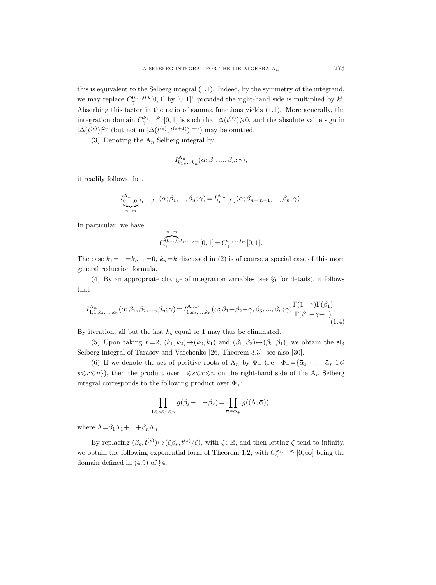this is equivalent to the Selberg integral (1.1). Indeed, by the symmetry of the integrand, we may replace  $C^{0,\ldots,0,k}_{\gamma}[0,1]$  by  $[0,1]^k$  provided the right-hand side is multiplied by k!. Absorbing this factor in the ratio of gamma functions yields (1.1). More generally, the integration domain  $C^{k_1,...,k_n}_{\gamma}[0,1]$  is such that  $\Delta(t^{(s)})\geqslant 0$ , and the absolute value sign in  $|\Delta(t^{(s)})|^{2\gamma}$  (but not in  $|\Delta(t^{(s)}, t^{(s+1)})|^{-\gamma}$ ) may be omitted.

(3) Denoting the  $A_n$  Selberg integral by

$$
I_{k_1,\ldots,k_n}^{\mathcal{A}_n}(\alpha;\beta_1,\ldots,\beta_n;\gamma),
$$

it readily follows that

$$
I_{0,...,0, l_1,...,l_m}^{A_n}(\alpha; \beta_1,..., \beta_n; \gamma) = I_{l_1,...,l_m}^{A_m}(\alpha; \beta_{n-m+1},..., \beta_n; \gamma).
$$

In particular, we have

$$
C_{\gamma}^{0,\ldots,0,l_{1},\ldots,l_{m}}[0,1] = C_{\gamma}^{l_{1},\ldots,l_{m}}[0,1].
$$

The case  $k_1 = ... = k_{n-1} = 0$ ,  $k_n = k$  discussed in (2) is of course a special case of this more general reduction formula.

(4) By an appropriate change of integration variables (see §7 for details), it follows that

$$
I_{1,1,k_3,...,k_n}^{\mathcal{A}_n}(\alpha;\beta_1,\beta_2,...,\beta_n;\gamma) = I_{1,k_3,...,k_n}^{\mathcal{A}_{n-1}}(\alpha;\beta_1+\beta_2-\gamma,\beta_3,...,\beta_n;\gamma)\frac{\Gamma(1-\gamma)\Gamma(\beta_1)}{\Gamma(\beta_1-\gamma+1)}.
$$
\n(1.4)

By iteration, all but the last  $k_s$  equal to 1 may thus be eliminated.

(5) Upon taking  $n=2, (k_1, k_2) \mapsto (k_2, k_1)$  and  $(\beta_1, \beta_2) \mapsto (\beta_2, \beta_1)$ , we obtain the  $\mathfrak{sl}_3$ Selberg integral of Tarasov and Varchenko [26, Theorem 3.3]; see also [30].

(6) If we denote the set of positive roots of  $A_n$  by  $\Phi_+$  (i.e.,  $\Phi_+ = {\overline{\alpha_s} + ... + \overline{\alpha_r}} : 1 \leq$  $s \leq r \leq n$ , then the product over  $1 \leq s \leq r \leq n$  on the right-hand side of the  $A_n$  Selberg integral corresponds to the following product over  $\Phi_{+}$ :

$$
\prod_{1 \leq s \leq r \leq n} g(\beta_s + \dots + \beta_r) = \prod_{\bar{\alpha} \in \Phi_+} g((\Lambda, \bar{\alpha})),
$$

where  $\Lambda = \beta_1 \Lambda_1 + ... + \beta_n \Lambda_n$ .

By replacing  $(\beta_s, t^{(s)}) \mapsto (\zeta \beta_s, t^{(s)}/\zeta)$ , with  $\zeta \in \mathbb{R}$ , and then letting  $\zeta$  tend to infinity, we obtain the following exponential form of Theorem 1.2, with  $C^{k_1,\ldots,k_n}_{\gamma}[0,\infty]$  being the domain defined in (4.9) of §4.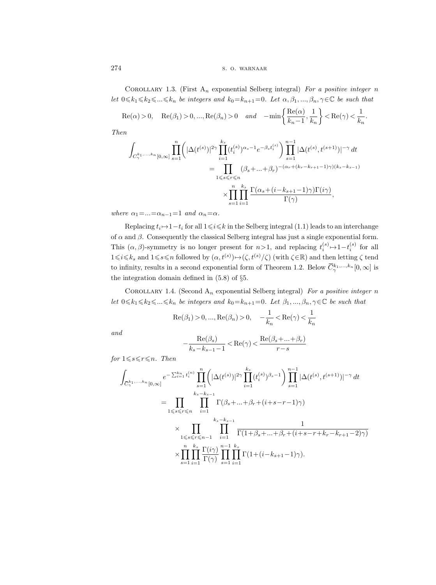COROLLARY 1.3. (First  $A_n$  exponential Selberg integral) For a positive integer n let  $0 \le k_1 \le k_2 \le \ldots \le k_n$  be integers and  $k_0=k_{n+1}=0$ . Let  $\alpha, \beta_1, ..., \beta_n, \gamma \in \mathbb{C}$  be such that

$$
\operatorname{Re}(\alpha) > 0, \quad \operatorname{Re}(\beta_1) > 0, \dots, \operatorname{Re}(\beta_n) > 0 \quad \text{and} \quad -\min\left\{\frac{\operatorname{Re}(\alpha)}{k_n - 1}, \frac{1}{k_n}\right\} < \operatorname{Re}(\gamma) < \frac{1}{k_n}.
$$

Then

$$
\int_{C_{\gamma}^{k_1,...,k_n}[0,\infty]} \prod_{s=1}^n \left( |\Delta(t^{(s)})|^{2\gamma} \prod_{i=1}^{k_s} (t_i^{(s)})^{\alpha_s-1} e^{-\beta_s t_i^{(s)}} \right) \prod_{s=1}^{n-1} |\Delta(t^{(s)}, t^{(s+1)})|^{-\gamma} dt
$$
\n
$$
= \prod_{1 \leq s \leq r \leq n} (\beta_s + ... + \beta_r)^{-(\alpha_r + (k_r - k_{r+1} - 1)\gamma)(k_s - k_{s-1})}
$$
\n
$$
\times \prod_{s=1}^n \prod_{i=1}^{k_s} \frac{\Gamma(\alpha_s + (i - k_{s+1} - 1)\gamma)\Gamma(i\gamma)}{\Gamma(\gamma)},
$$

where  $\alpha_1 = ... = \alpha_{n-1} = 1$  and  $\alpha_n = \alpha$ .

Replacing  $t_i \mapsto 1-t_i$  for all  $1 \leq i \leq k$  in the Selberg integral (1.1) leads to an interchange of  $\alpha$  and  $\beta$ . Consequently the classical Selberg integral has just a single exponential form. This  $(\alpha, \beta)$ -symmetry is no longer present for  $n>1$ , and replacing  $t_i^{(s)} \mapsto 1-t_i^{(s)}$  for all  $1\leq i\leq k_s$  and  $1\leq s\leq n$  followed by  $(\alpha, t^{(s)})\mapsto (\zeta, t^{(s)}/\zeta)$  (with  $\zeta \in \mathbb{R}$ ) and then letting  $\zeta$  tend to infinity, results in a second exponential form of Theorem 1.2. Below  $\overline{C}_{\gamma}^{k_1,...,k_n}[0,\infty]$  is the integration domain defined in (5.8) of §5.

COROLLARY 1.4. (Second  $A_n$  exponential Selberg integral) For a positive integer n let  $0 \le k_1 \le k_2 \le \ldots \le k_n$  be integers and  $k_0=k_{n+1}=0$ . Let  $\beta_1,..., \beta_n, \gamma \in \mathbb{C}$  be such that

Re(
$$
\beta_1
$$
) > 0, ..., Re( $\beta_n$ ) > 0,  $-\frac{1}{k_n} < \text{Re}(\gamma) < \frac{1}{k_n}$ 

and

$$
-\frac{\operatorname{Re}(\beta_s)}{k_s-k_{s-1}-1}<\operatorname{Re}(\gamma)<\frac{\operatorname{Re}(\beta_s+...+\beta_r)}{r-s}
$$

for  $1 \leq s \leq r \leq n$ . Then

$$
\int_{\overline{C}_{\gamma}^{k_1,...,k_n}[0,\infty]} e^{-\sum_{i=1}^{k_n} t_i^{(n)}} \prod_{s=1}^n \left( |\Delta(t^{(s)})|^{2\gamma} \prod_{i=1}^{k_s} (t_i^{(s)})^{\beta_s - 1} \right) \prod_{s=1}^{n-1} |\Delta(t^{(s)}, t^{(s+1)})|^{-\gamma} dt
$$
\n
$$
= \prod_{1 \leq s \leq r \leq n} \prod_{i=1}^{k_s - k_{s-1}} \Gamma(\beta_s + ... + \beta_r + (i + s - r - 1)\gamma)
$$
\n
$$
\times \prod_{1 \leq s \leq r \leq n-1} \prod_{i=1}^{k_s - k_{s-1}} \frac{1}{\Gamma(1 + \beta_s + ... + \beta_r + (i + s - r + k_r - k_{r+1} - 2)\gamma)}
$$
\n
$$
\times \prod_{s=1}^n \prod_{i=1}^{k_s} \frac{\Gamma(i\gamma)}{\Gamma(\gamma)} \prod_{s=1}^{n-1} \prod_{i=1}^{k_s} \Gamma(1 + (i - k_{s+1} - 1)\gamma).
$$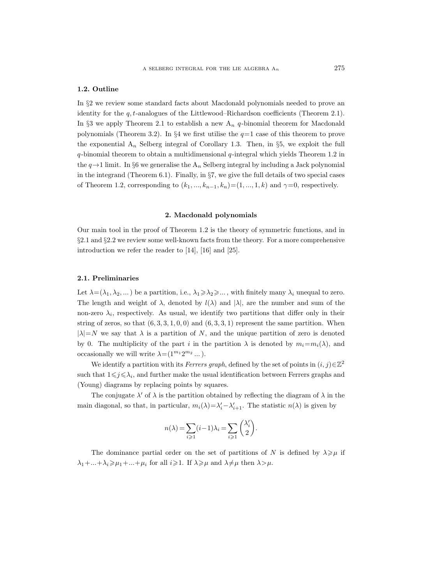## 1.2. Outline

In §2 we review some standard facts about Macdonald polynomials needed to prove an identity for the  $q$ ,  $t$ -analogues of the Littlewood–Richardson coefficients (Theorem 2.1). In §3 we apply Theorem 2.1 to establish a new  $A_n$  q-binomial theorem for Macdonald polynomials (Theorem 3.2). In  $\S 4$  we first utilise the  $q=1$  case of this theorem to prove the exponential  $A_n$  Selberg integral of Corollary 1.3. Then, in §5, we exploit the full  $q$ -binomial theorem to obtain a multidimensional  $q$ -integral which yields Theorem 1.2 in the  $q \rightarrow 1$  limit. In §6 we generalise the  $A_n$  Selberg integral by including a Jack polynomial in the integrand (Theorem 6.1). Finally, in §7, we give the full details of two special cases of Theorem 1.2, corresponding to  $(k_1, ..., k_{n-1}, k_n) = (1, ..., 1, k)$  and  $\gamma = 0$ , respectively.

#### 2. Macdonald polynomials

Our main tool in the proof of Theorem 1.2 is the theory of symmetric functions, and in §2.1 and §2.2 we review some well-known facts from the theory. For a more comprehensive introduction we refer the reader to [14], [16] and [25].

#### 2.1. Preliminaries

Let  $\lambda = (\lambda_1, \lambda_2, ...)$  be a partition, i.e.,  $\lambda_1 \geq \lambda_2 \geq ...$ , with finitely many  $\lambda_i$  unequal to zero. The length and weight of  $\lambda$ , denoted by  $l(\lambda)$  and  $|\lambda|$ , are the number and sum of the non-zero  $\lambda_i$ , respectively. As usual, we identify two partitions that differ only in their string of zeros, so that  $(6, 3, 3, 1, 0, 0)$  and  $(6, 3, 3, 1)$  represent the same partition. When  $|\lambda|=N$  we say that  $\lambda$  is a partition of N, and the unique partition of zero is denoted by 0. The multiplicity of the part i in the partition  $\lambda$  is denoted by  $m_i = m_i(\lambda)$ , and occasionally we will write  $\lambda = (1^{m_1} 2^{m_2} ...)$ .

We identify a partition with its Ferrers graph, defined by the set of points in  $(i, j) \in \mathbb{Z}^2$ such that  $1 \leq j \leq \lambda_i$ , and further make the usual identification between Ferrers graphs and (Young) diagrams by replacing points by squares.

The conjugate  $\lambda'$  of  $\lambda$  is the partition obtained by reflecting the diagram of  $\lambda$  in the main diagonal, so that, in particular,  $m_i(\lambda) = \lambda'_i - \lambda'_{i+1}$ . The statistic  $n(\lambda)$  is given by

$$
n(\lambda) = \sum_{i \geqslant 1} (i-1)\lambda_i = \sum_{i \geqslant 1} \binom{\lambda_i'}{2}.
$$

The dominance partial order on the set of partitions of N is defined by  $\lambda \geq \mu$  if  $\lambda_1+\ldots+\lambda_i\geqslant\mu_1+\ldots+\mu_i$  for all  $i\geqslant1$ . If  $\lambda\geqslant\mu$  and  $\lambda\neq\mu$  then  $\lambda>\mu$ .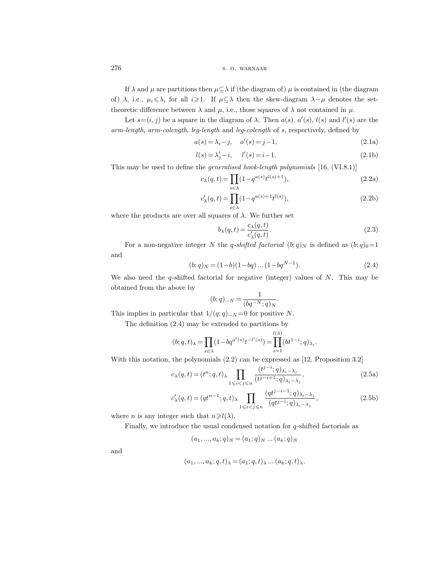If  $\lambda$  and  $\mu$  are partitions then  $\mu \subseteq \lambda$  if (the diagram of)  $\mu$  is contained in (the diagram of)  $\lambda$ , i.e.,  $\mu_i \leq \lambda_i$  for all  $i \geq 1$ . If  $\mu \subseteq \lambda$  then the skew-diagram  $\lambda - \mu$  denotes the settheoretic difference between  $\lambda$  and  $\mu$ , i.e., those squares of  $\lambda$  not contained in  $\mu$ .

Let  $s=(i, j)$  be a square in the diagram of  $\lambda$ . Then  $a(s)$ ,  $a'(s)$ ,  $l(s)$  and  $l'(s)$  are the arm-length, arm-colength, leg-length and leg-colength of s, respectively, defined by

$$
a(s) = \lambda_i - j, \quad a'(s) = j - 1,
$$
 (2.1a)

$$
l(s) = \lambda'_j - i, \quad l'(s) = i - 1.
$$
\n
$$
(2.1b)
$$

This may be used to define the generalised hook-length polynomials [16, (VI.8.1)]

$$
c_{\lambda}(q,t) = \prod_{s \in \lambda} (1 - q^{a(s)} t^{l(s)+1}),
$$
\n(2.2a)

$$
c'_{\lambda}(q,t)=\prod_{s\in\lambda}(1-q^{a(s)+1}t^{l(s)}),\qquad \qquad (2.2b)
$$

where the products are over all squares of  $\lambda$ . We further set

$$
b_{\lambda}(q,t) = \frac{c_{\lambda}(q,t)}{c'_{\lambda}(q,t)}.
$$
\n(2.3)

.

For a non-negative integer N the q-shifted factorial  $(b;q)_N$  is defined as  $(b;q)_0=1$ and

$$
(b;q)_N = (1-b)(1-bq)\dots(1-bq^{N-1}).
$$
\n(2.4)

We also need the  $q$ -shifted factorial for negative (integer) values of  $N$ . This may be obtained from the above by

$$
(b;q)_{-N} = \frac{1}{(bq^{-N};q)_N}.
$$

This implies in particular that  $1/(q; q)_{-N} = 0$  for positive N.

The definition (2.4) may be extended to partitions by

$$
(b;q,t)_{\lambda} = \prod_{s \in \lambda} (1 - bq^{a'(s)}t^{-l'(s)}) = \prod_{i=1}^{l(\lambda)} (bt^{1-i};q)_{\lambda_i}
$$

With this notation, the polynomials (2.2) can be expressed as [12, Proposition 3.2]

$$
c_{\lambda}(q,t) = (t^n; q, t)_{\lambda} \prod_{1 \leqslant i < j \leqslant n} \frac{(t^{j-i}; q)_{\lambda_i - \lambda_j}}{(t^{j-i+1}; q)_{\lambda_i - \lambda_j}},\tag{2.5a}
$$

$$
c'_{\lambda}(q,t) = (qt^{n-1};q,t)_{\lambda} \prod_{1 \leqslant i < j \leqslant n} \frac{(qt^{j-i-1};q)_{\lambda_i - \lambda_j}}{(qt^{j-i};q)_{\lambda_i - \lambda_j}},\tag{2.5b}
$$

where *n* is any integer such that  $n \ge l(\lambda)$ .

Finally, we introduce the usual condensed notation for  $q$ -shifted factorials as

$$
(a_1, ..., a_k; q)_N = (a_1; q)_N ... (a_k; q)_N
$$

and

$$
(a_1, ..., a_k; q, t)_{\lambda} = (a_1; q, t)_{\lambda} ... (a_k; q, t)_{\lambda}.
$$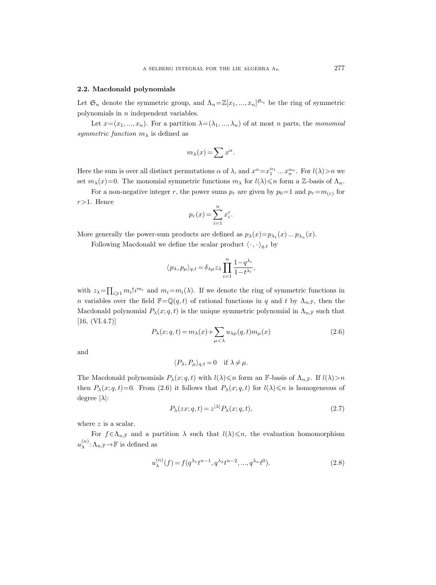#### 2.2. Macdonald polynomials

Let  $\mathfrak{S}_n$  denote the symmetric group, and  $\Lambda_n = \mathbb{Z}[x_1, ..., x_n]^{S_n}$  be the ring of symmetric polynomials in  $n$  independent variables.

Let  $x=(x_1, ..., x_n)$ . For a partition  $\lambda = (\lambda_1, ..., \lambda_n)$  of at most n parts, the monomial symmetric function  $m<sub>\lambda</sub>$  is defined as

$$
m_\lambda(x)=\sum x^\alpha.
$$

Here the sum is over all distinct permutations  $\alpha$  of  $\lambda$ , and  $x^{\alpha} = x_1^{\alpha_1} \dots x_n^{\alpha_n}$ . For  $l(\lambda) > n$  we set  $m_\lambda(x)=0$ . The monomial symmetric functions  $m_\lambda$  for  $l(\lambda)\leqslant n$  form a Z-basis of  $\Lambda_n$ .

For a non-negative integer r, the power sums  $p_r$  are given by  $p_0 = 1$  and  $p_r = m_{(r)}$  for  $r>1$ . Hence

$$
p_r(x) = \sum_{i=1}^n x_i^r.
$$

More generally the power-sum products are defined as  $p_{\lambda}(x) = p_{\lambda_1}(x) \dots p_{\lambda_n}(x)$ .

Following Macdonald we define the scalar product  $\langle \cdot, \cdot \rangle_{q,t}$  by

$$
\langle\, p_\lambda, p_\mu\rangle_{q,t} = \delta_{\lambda\mu} z_\lambda \prod_{i=1}^n \frac{1-q^{\lambda_i}}{1-t^{\lambda_i}},
$$

with  $z_{\lambda} = \prod_{i \geqslant 1} m_i! i^{m_i}$  and  $m_i = m_i(\lambda)$ . If we denote the ring of symmetric functions in n variables over the field  $\mathbb{F}=\mathbb{Q}(q,t)$  of rational functions in q and t by  $\Lambda_{n,\mathbb{F}}$ , then the Macdonald polynomial  $P_{\lambda}(x; q, t)$  is the unique symmetric polynomial in  $\Lambda_{n,\mathbb{F}}$  such that [16, (VI.4.7)]

$$
P_{\lambda}(x;q,t) = m_{\lambda}(x) + \sum_{\mu < \lambda} u_{\lambda\mu}(q,t) m_{\mu}(x)
$$
\n(2.6)

and

$$
\langle P_{\lambda}, P_{\mu} \rangle_{q,t} = 0 \quad \text{if } \lambda \neq \mu.
$$

The Macdonald polynomials  $P_{\lambda}(x; q, t)$  with  $l(\lambda) \leq n$  form an F-basis of  $\Lambda_{n,\mathbb{F}}$ . If  $l(\lambda) > n$ then  $P_{\lambda}(x; q, t) = 0$ . From (2.6) it follows that  $P_{\lambda}(x; q, t)$  for  $l(\lambda) \leq n$  is homogeneous of degree  $|\lambda|$ :

$$
P_{\lambda}(zx;q,t) = z^{|\lambda|} P_{\lambda}(x;q,t),
$$
\n(2.7)

where z is a scalar.

For  $f \in \Lambda_{n,\mathbb{F}}$  and a partition  $\lambda$  such that  $l(\lambda) \leq n$ , the evaluation homomorphism  $u_{\lambda}^{(n)}$  $\chi^{(n)}$ :  $\Lambda_{n,\mathbb{F}} \to \mathbb{F}$  is defined as

$$
u_{\lambda}^{(n)}(f) = f(q^{\lambda_1}t^{n-1}, q^{\lambda_2}t^{n-2}, ..., q^{\lambda_n}t^0).
$$
 (2.8)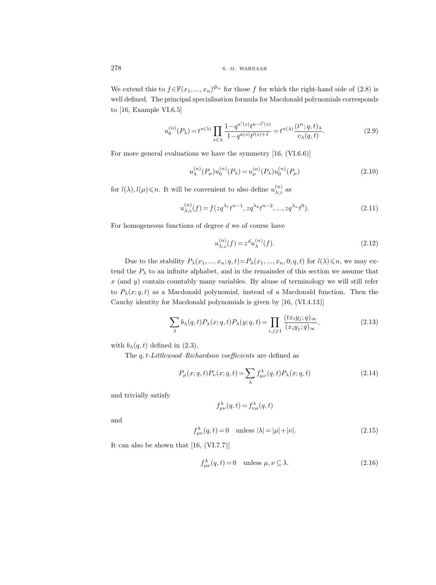We extend this to  $f \in \mathbb{F}(x_1, ..., x_n)^{\mathfrak{S}_n}$  for those f for which the right-hand side of (2.8) is well defined. The principal specialisation formula for Macdonald polynomials corresponds to [16, Example VI.6.5]

$$
u_0^{(n)}(P_\lambda) = t^{n(\lambda)} \prod_{s \in \lambda} \frac{1 - q^{a'(s)} t^{n - l'(s)}}{1 - q^{a(s)} t^{l(s) + 1}} = t^{n(\lambda)} \frac{(t^n; q, t)_\lambda}{c_\lambda(q, t)}.
$$
 (2.9)

For more general evaluations we have the symmetry [16, (VI.6.6)]

$$
u_{\lambda}^{(n)}(P_{\mu})u_0^{(n)}(P_{\lambda}) = u_{\mu}^{(n)}(P_{\lambda})u_0^{(n)}(P_{\mu})
$$
\n(2.10)

for  $l(\lambda), l(\mu) \leq n$ . It will be convenient to also define  $u_{\lambda}:_{\lambda}^{(n)}$  $\lambda$ ;z as

$$
u_{\lambda;z}^{(n)}(f) = f( zq^{\lambda_1} t^{n-1}, zq^{\lambda_2} t^{n-2}, ..., zq^{\lambda_n} t^0).
$$
 (2.11)

For homogeneous functions of degree  $d$  we of course have

$$
u_{\lambda;z}^{(n)}(f) = z^d u_{\lambda}^{(n)}(f). \tag{2.12}
$$

Due to the stability  $P_{\lambda}(x_1, ..., x_n; q, t) = P_{\lambda}(x_1, ..., x_n, 0; q, t)$  for  $l(\lambda) \leq n$ , we may extend the  $P_{\lambda}$  to an infinite alphabet, and in the remainder of this section we assume that  $x$  (and  $y$ ) contain countably many variables. By abuse of terminology we will still refer to  $P_{\lambda}(x; q, t)$  as a Macdonald polynomial, instead of a Macdonald function. Then the Cauchy identity for Macdonald polynomials is given by [16, (VI.4.13)]

$$
\sum_{\lambda} b_{\lambda}(q, t) P_{\lambda}(x; q, t) P_{\lambda}(y; q, t) = \prod_{i, j \geqslant 1} \frac{(tx_i y_j; q)_{\infty}}{(x_i y_j; q)_{\infty}},
$$
\n(2.13)

with  $b_{\lambda}(q, t)$  defined in (2.3).

The  $q, t\text{-}Littlewood-Richardson coefficients$  are defined as

$$
P_{\mu}(x;q,t)P_{\nu}(x;q,t) = \sum_{\lambda} f^{\lambda}_{\mu\nu}(q,t)P_{\lambda}(x;q,t)
$$
\n(2.14)

and trivially satisfy

$$
f_{\mu\nu}^{\lambda}(q,t) = f_{\nu\mu}^{\lambda}(q,t)
$$

and

$$
f_{\mu\nu}^{\lambda}(q,t) = 0 \quad \text{unless } |\lambda| = |\mu| + |\nu|.
$$
 (2.15)

It can also be shown that [16, (VI.7.7)]

$$
f_{\mu\nu}^{\lambda}(q,t) = 0 \quad \text{unless } \mu, \nu \subseteq \lambda. \tag{2.16}
$$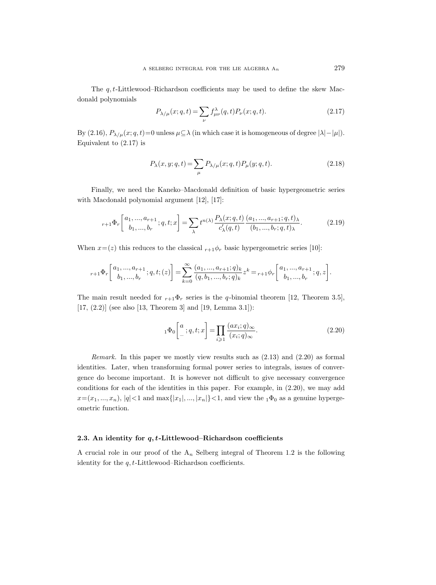The  $q, t$ -Littlewood–Richardson coefficients may be used to define the skew Macdonald polynomials

$$
P_{\lambda/\mu}(x;q,t) = \sum_{\nu} f^{\lambda}_{\mu\nu}(q,t) P_{\nu}(x;q,t).
$$
 (2.17)

By (2.16),  $P_{\lambda/\mu}(x; q, t) = 0$  unless  $\mu \subseteq \lambda$  (in which case it is homogeneous of degree  $|\lambda| - |\mu|$ ). Equivalent to (2.17) is

$$
P_{\lambda}(x, y; q, t) = \sum_{\mu} P_{\lambda/\mu}(x; q, t) P_{\mu}(y; q, t).
$$
 (2.18)

Finally, we need the Kaneko–Macdonald definition of basic hypergeometric series with Macdonald polynomial argument [12], [17]:

$$
{}_{r+1}\Phi_r\left[\begin{array}{c} a_1, ..., a_{r+1} \\ b_1, ..., b_r \end{array}; q, t; x\right] = \sum_{\lambda} t^{n(\lambda)} \frac{P_{\lambda}(x; q, t)}{c'_{\lambda}(q, t)} \frac{(a_1, ..., a_{r+1}; q, t)_{\lambda}}{(b_1, ..., b_r; q, t)_{\lambda}}.\tag{2.19}
$$

When  $x=(z)$  this reduces to the classical  $r+1\phi_r$  basic hypergeometric series [10]:

$$
{}_{r+1}\Phi_r\left[\begin{matrix}a_1,\ldots,a_{r+1}\\b_1,\ldots,b_r\end{matrix};q,t;(z)\right]=\sum_{k=0}^\infty\frac{(a_1,\ldots,a_{r+1};q)_k}{(q,b_1,\ldots,b_r;q)_k}z^k={}_{r+1}\phi_r\left[\begin{matrix}a_1,\ldots,a_{r+1}\\b_1,\ldots,b_r\end{matrix};q,z\right].
$$

The main result needed for  $r_{+1}\Phi_r$  series is the q-binomial theorem [12, Theorem 3.5],  $[17, (2.2)]$  (see also [13, Theorem 3] and [19, Lemma 3.1]):

$$
{}_1\Phi_0\left[\begin{matrix}a\\ \cdot\\ \cdot\end{matrix};q,t;x\right] = \prod_{i \geqslant 1} \frac{(ax_i;q)_{\infty}}{(x_i;q)_{\infty}}.\tag{2.20}
$$

Remark. In this paper we mostly view results such as (2.13) and (2.20) as formal identities. Later, when transforming formal power series to integrals, issues of convergence do become important. It is however not difficult to give necessary convergence conditions for each of the identities in this paper. For example, in (2.20), we may add  $x=(x_1, ..., x_n), |q|<1$  and  $\max\{|x_1|, ..., |x_n|\}<1$ , and view the  $_1\Phi_0$  as a genuine hypergeometric function.

#### 2.3. An identity for  $q, t$ -Littlewood–Richardson coefficients

A crucial role in our proof of the  $A_n$  Selberg integral of Theorem 1.2 is the following identity for the  $q, t$ -Littlewood–Richardson coefficients.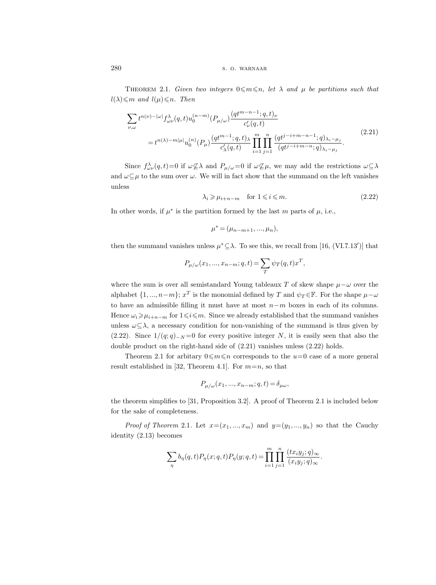THEOREM 2.1. Given two integers  $0 \le m \le n$ , let  $\lambda$  and  $\mu$  be partitions such that  $l(\lambda) \leqslant m$  and  $l(\mu) \leqslant n$ . Then

$$
\sum_{\nu,\omega} t^{n(\nu)-|\omega|} f^{\lambda}_{\omega\nu}(q,t) u_0^{(n-m)}(P_{\mu/\omega}) \frac{(qt^{m-n-1};q,t)_{\nu}}{c'_{\nu}(q,t)} \n= t^{n(\lambda)-m|\mu|} u_0^{(n)}(P_{\mu}) \frac{(qt^{m-1};q,t)_{\lambda}}{c'_{\lambda}(q,t)} \prod_{i=1}^m \prod_{j=1}^n \frac{(qt^{j-i+m-n-1};q)_{\lambda_i-\mu_j}}{(qt^{j-i+m-n};q)_{\lambda_i-\mu_j}}.
$$
\n(2.21)

Since  $f^{\lambda}_{\omega\nu}(q,t)=0$  if  $\omega \not\subseteq \lambda$  and  $P_{\mu/\omega}=0$  if  $\omega \not\subseteq \mu$ , we may add the restrictions  $\omega \subseteq \lambda$ and  $\omega \subseteq \mu$  to the sum over  $\omega$ . We will in fact show that the summand on the left vanishes unless

$$
\lambda_i \ge \mu_{i+n-m} \quad \text{for } 1 \le i \le m. \tag{2.22}
$$

In other words, if  $\mu^*$  is the partition formed by the last m parts of  $\mu$ , i.e.,

$$
\mu^* = (\mu_{n-m+1}, ..., \mu_n),
$$

then the summand vanishes unless  $\mu^* \subseteq \lambda$ . To see this, we recall from [16, (VI.7.13')] that

$$
P_{\mu/\omega}(x_1, ..., x_{n-m}; q, t) = \sum_{T} \psi_T(q, t) x^T,
$$

where the sum is over all semistandard Young tableaux T of skew shape  $\mu-\omega$  over the alphabet  $\{1, ..., n-m\}$ ;  $x^T$  is the monomial defined by T and  $\psi_T \in \mathbb{F}$ . For the shape  $\mu-\omega$ to have an admissible filling it must have at most  $n-m$  boxes in each of its columns. Hence  $\omega_i \geq \mu_{i+n-m}$  for  $1 \leq i \leq m$ . Since we already established that the summand vanishes unless  $\omega \subseteq \lambda$ , a necessary condition for non-vanishing of the summand is thus given by (2.22). Since  $1/(q;q)_{-N}=0$  for every positive integer N, it is easily seen that also the double product on the right-hand side of (2.21) vanishes unless (2.22) holds.

Theorem 2.1 for arbitary  $0 \le m \le n$  corresponds to the  $u=0$  case of a more general result established in [32, Theorem 4.1]. For  $m=n$ , so that

$$
P_{\mu/\omega}(x_1, ..., x_{n-m}; q, t) = \delta_{\mu\omega},
$$

the theorem simplifies to [31, Proposition 3.2]. A proof of Theorem 2.1 is included below for the sake of completeness.

*Proof of Theorem 2.1.* Let  $x=(x_1,...,x_m)$  and  $y=(y_1,...,y_n)$  so that the Cauchy identity (2.13) becomes

$$
\sum_{\eta} b_{\eta}(q,t) P_{\eta}(x;q,t) P_{\eta}(y;q,t) = \prod_{i=1}^{m} \prod_{j=1}^{n} \frac{(tx_i y_j;q)_{\infty}}{(x_i y_j;q)_{\infty}}.
$$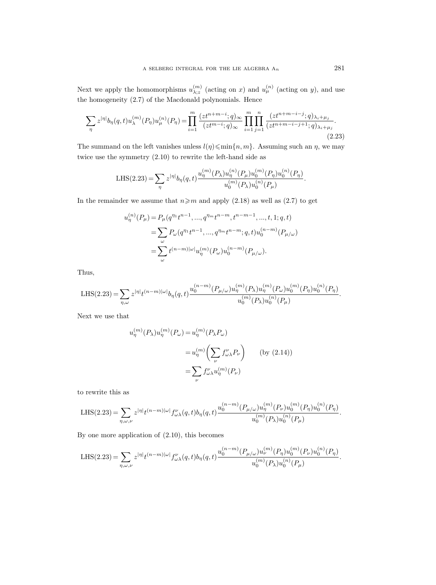Next we apply the homomorphisms  $u_{\lambda:z}^{(m)}$  $\binom{m}{\lambda;z}$  (acting on x) and  $u_{\mu}^{(n)}$  (acting on y), and use the homogeneity (2.7) of the Macdonald polynomials. Hence

$$
\sum_{\eta} z^{|\eta|} b_{\eta}(q,t) u_{\lambda}^{(m)}(P_{\eta}) u_{\mu}^{(n)}(P_{\eta}) = \prod_{i=1}^{m} \frac{(zt^{n+m-i};q)_{\infty}}{(zt^{m-i};q)_{\infty}} \prod_{i=1}^{m} \prod_{j=1}^{n} \frac{(zt^{n+m-i-j};q)_{\lambda_{i}+\mu_{j}}}{(zt^{n+m-i-j+1};q)_{\lambda_{i}+\mu_{j}}}. \tag{2.23}
$$

The summand on the left vanishes unless  $l(\eta) \leqslant \min\{n, m\}$ . Assuming such an  $\eta$ , we may twice use the symmetry (2.10) to rewrite the left-hand side as

LHS(2.23) = 
$$
\sum_{\eta} z^{|\eta|} b_{\eta}(q,t) \frac{u_{\eta}^{(m)}(P_{\lambda}) u_{\eta}^{(n)}(P_{\mu}) u_{0}^{(m)}(P_{\eta}) u_{0}^{(n)}(P_{\eta})}{u_{0}^{(m)}(P_{\lambda}) u_{0}^{(n)}(P_{\mu})}.
$$

In the remainder we assume that  $n \geq m$  and apply (2.18) as well as (2.7) to get

$$
u_{\eta}^{(n)}(P_{\mu}) = P_{\mu}(q^{n_1}t^{n-1}, ..., q^{n_m}t^{n-m}, t^{n-m-1}, ..., t, 1; q, t)
$$
  
= 
$$
\sum_{\omega} P_{\omega}(q^{n_1}t^{n-1}, ..., q^{n_m}t^{n-m}; q, t)u_0^{(n-m)}(P_{\mu/\omega})
$$
  
= 
$$
\sum_{\omega} t^{(n-m)|\omega|} u_{\eta}^{(m)}(P_{\omega})u_0^{(n-m)}(P_{\mu/\omega}).
$$

Thus,

LHS(2.23) = 
$$
\sum_{\eta,\omega} z^{|\eta|} t^{(n-m)|\omega|} b_{\eta}(q,t) \frac{u_0^{(n-m)}(P_{\mu/\omega}) u_{\eta}^{(m)}(P_{\lambda}) u_{\eta}^{(m)}(P_{\omega}) u_0^{(m)}(P_{\eta}) u_0^{(n)}(P_{\eta})}{u_0^{(m)}(P_{\lambda}) u_0^{(n)}(P_{\mu})}.
$$

Next we use that

$$
u_{\eta}^{(m)}(P_{\lambda})u_{\eta}^{(m)}(P_{\omega}) = u_{\eta}^{(m)}(P_{\lambda}P_{\omega})
$$

$$
= u_{\eta}^{(m)}\left(\sum_{\nu} f_{\omega\lambda}^{\nu} P_{\nu}\right) \qquad \text{(by (2.14))}
$$

$$
= \sum_{\nu} f_{\omega\lambda}^{\nu} u_{\eta}^{(m)}(P_{\nu})
$$

to rewrite this as

LHS(2.23) = 
$$
\sum_{\eta,\omega,\nu} z^{|\eta|} t^{(n-m)|\omega|} f_{\omega\lambda}^{\nu}(q,t) b_{\eta}(q,t) \frac{u_0^{(n-m)}(P_{\mu/\omega}) u_{\eta}^{(m)}(P_{\nu}) u_0^{(m)}(P_{\eta}) u_0^{(n)}(P_{\eta})}{u_0^{(m)}(P_{\lambda}) u_0^{(n)}(P_{\mu})}.
$$

By one more application of (2.10), this becomes

$$
\text{LHS}(2.23) = \sum_{\eta,\omega,\nu} z^{|\eta|} t^{(n-m)|\omega|} f_{\omega\lambda}^{\nu}(q,t) b_{\eta}(q,t) \frac{u_0^{(n-m)}(P_{\mu/\omega}) u_{\nu}^{(m)}(P_{\eta}) u_0^{(m)}(P_{\nu}) u_0^{(n)}(P_{\eta})}{u_0^{(m)}(P_{\lambda}) u_0^{(n)}(P_{\mu})}.
$$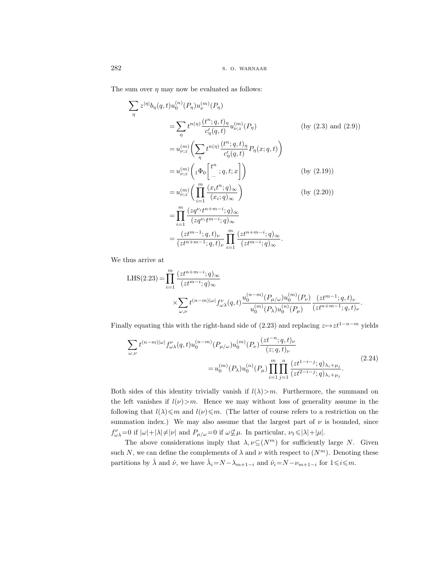The sum over  $\eta$  may now be evaluated as follows:

$$
\sum_{\eta} z^{|\eta|} b_{\eta}(q, t) u_0^{(n)}(P_{\eta}) u_{\nu}^{(m)}(P_{\eta})
$$
\n
$$
= \sum_{\eta} t^{n(\eta)} \frac{(t^n; q, t)_{\eta}}{c'_{\eta}(q, t)} u_{\nu; z}^{(m)}(P_{\eta}) \qquad \text{(by (2.3) and (2.9))}
$$
\n
$$
= u_{\nu; z}^{(m)} \left( \sum_{\eta} t^{n(\eta)} \frac{(t^n; q, t)_{\eta}}{c'_{\eta}(q, t)} P_{\eta}(x; q, t) \right)
$$
\n
$$
= u_{\nu; z}^{(m)} \left( {}_{1} \Phi_{0} \begin{bmatrix} t^n \\ -; q, t; x \end{bmatrix} \right) \qquad \text{(by (2.19))}
$$
\n
$$
= u_{\nu; z}^{(m)} \left( \prod_{i=1}^{m} \frac{(x_i t^n; q)_{\infty}}{(x_i; q)_{\infty}} \right) \qquad \text{(by (2.20))}
$$
\n
$$
= \prod_{i=1}^{m} \frac{(z q^{\nu_i} t^{n+m-i}; q)_{\infty}}{(z q^{\nu_i} t^{m-i}; q)_{\infty}}
$$
\n
$$
= \frac{(zt^{m-1}; q, t)_{\nu}}{(zt^{n+m-1}; q, t)_{\nu}} \prod_{i=1}^{m} \frac{(zt^{n+m-i}; q)_{\infty}}{(zt^{m-i}; q)_{\infty}}.
$$

We thus arrive at

$$
\begin{split} \mathrm{LHS}(2.23)=&\prod_{i=1}^{m}\frac{(zt^{n+m-i};q)_{\infty}}{(zt^{m-i};q)_{\infty}}\\ &\times\sum_{\omega,\nu}t^{(n-m)|\omega|}f^{\nu}_{\omega\lambda}(q,t)\frac{u_0^{(n-m)}(P_{\mu/\omega})u_0^{(m)}(P_{\nu})}{u_0^{(m)}(P_{\lambda})u_0^{(n)}(P_{\mu})}\frac{(zt^{m-1};q,t)_{\nu}}{(zt^{n+m-1};q,t)_{\nu}}. \end{split}
$$

Finally equating this with the right-hand side of (2.23) and replacing  $z \mapsto zt^{1-n-m}$  yields

$$
\sum_{\omega,\nu} t^{(n-m)|\omega|} f_{\omega\lambda}^{\nu}(q,t) u_0^{(n-m)}(P_{\mu/\omega}) u_0^{(m)}(P_{\nu}) \frac{(zt^{-n};q,t)_{\nu}}{(z;q,t)_{\nu}}
$$
\n
$$
= u_0^{(m)}(P_{\lambda}) u_0^{(n)}(P_{\mu}) \prod_{i=1}^m \prod_{j=1}^n \frac{(zt^{1-i-j};q)_{\lambda_i+\mu_j}}{(zt^{2-i-j};q)_{\lambda_i+\mu_j}}.
$$
\n(2.24)

Both sides of this identity trivially vanish if  $l(\lambda) > m$ . Furthermore, the summand on the left vanishes if  $l(\nu) > m$ . Hence we may without loss of generality assume in the following that  $l(\lambda) \leq m$  and  $l(\nu) \leq m$ . (The latter of course refers to a restriction on the summation index.) We may also assume that the largest part of  $\nu$  is bounded, since  $f^{\nu}_{\omega\lambda}$ =0 if  $|\omega|+|\lambda| \neq |\nu|$  and  $P_{\mu/\omega}=0$  if  $\omega \nsubseteq \mu$ . In particular,  $\nu_1 \leq |\lambda|+|\mu|$ .

The above considerations imply that  $\lambda, \nu \subseteq (N^m)$  for sufficiently large N. Given such N, we can define the complements of  $\lambda$  and  $\nu$  with respect to  $(N^m)$ . Denoting these partitions by  $\hat{\lambda}$  and  $\hat{\nu}$ , we have  $\hat{\lambda}_i = N - \lambda_{m+1-i}$  and  $\hat{\nu}_i = N - \nu_{m+1-i}$  for  $1 \leqslant i \leqslant m$ .

η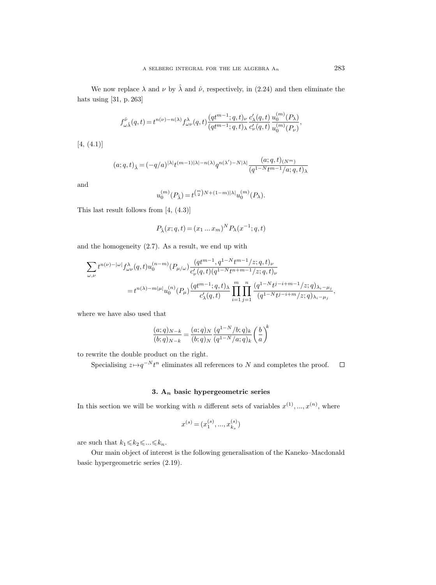We now replace  $\lambda$  and  $\nu$  by  $\hat{\lambda}$  and  $\hat{\nu}$ , respectively, in (2.24) and then eliminate the hats using [31, p. 263]

$$
f^{\hat{\nu}}_{\omega\hat{\lambda}}(q,t)\!=\!t^{n(\nu)-n(\lambda)}f^{\lambda}_{\omega\nu}(q,t)\frac{(qt^{m-1};q,t)_{\nu}}{(qt^{m-1};q,t)_{\lambda}}\frac{c'_{\lambda}(q,t)}{c'_{\nu}(q,t)}\frac{u_0^{(m)}(P_{\lambda})}{u_0^{(m)}(P_{\nu})},
$$

[4, (4.1)]

$$
(a;q,t)_{\hat{\lambda}} = (-q/a)^{|\lambda|} t^{(m-1)|\lambda|-n(\lambda)} q^{n(\lambda')-N|\lambda|} \frac{(a;q,t)_{(N^m)}}{(q^{1-N}t^{m-1}/a;q,t)_{\lambda}}
$$

and

$$
u_0^{(m)}(P_{\hat{\lambda}})=t^{\binom{m}{2}N+(1-m)|\lambda|}u_0^{(m)}(P_{\lambda}).
$$

This last result follows from [4, (4.3)]

$$
P_{\hat{\lambda}}(x; q, t) = (x_1 \dots x_m)^N P_{\lambda}(x^{-1}; q, t)
$$

and the homogeneity (2.7). As a result, we end up with

$$
\sum_{\omega,\nu} t^{n(\nu)-|\omega|} f^{\lambda}_{\omega\nu}(q,t) u_0^{(n-m)}(P_{\mu/\omega}) \frac{(qt^{m-1},q^{1-N}t^{m-1}/z;q,t)_\nu}{c'_\nu(q,t)(q^{1-N}t^{n+m-1}/z;q,t)_\nu}
$$
  
=  $t^{n(\lambda)-m|\mu|} u_0^{(n)}(P_\mu) \frac{(qt^{m-1};q,t)_\lambda}{c'_\lambda(q,t)} \prod_{i=1}^m \prod_{j=1}^n \frac{(q^{1-N}t^{j-i+m-1}/z;q)_{\lambda_i-\mu_j}}{(q^{1-N}t^{j-i+m}/z;q)_{\lambda_i-\mu_j}},$ 

where we have also used that

$$
\frac{(a;q)_{N-k}}{(b;q)_{N-k}} = \frac{(a;q)_N}{(b;q)_N} \frac{(q^{1-N}/b;q)_k}{(q^{1-N}/a;q)_k} \left(\frac{b}{a}\right)^k
$$

to rewrite the double product on the right.

Specialising  $z \mapsto q^{-N} t^n$  eliminates all references to N and completes the proof.  $\Box$ 

## 3.  $A_n$  basic hypergeometric series

In this section we will be working with *n* different sets of variables  $x^{(1)},...,x^{(n)}$ , where

$$
x^{(s)} = (x_1^{(s)}, \dots, x_{k_s}^{(s)})
$$

are such that  $k_1 \leq k_2 \leq \ldots \leq k_n$ .

Our main object of interest is the following generalisation of the Kaneko–Macdonald basic hypergeometric series (2.19).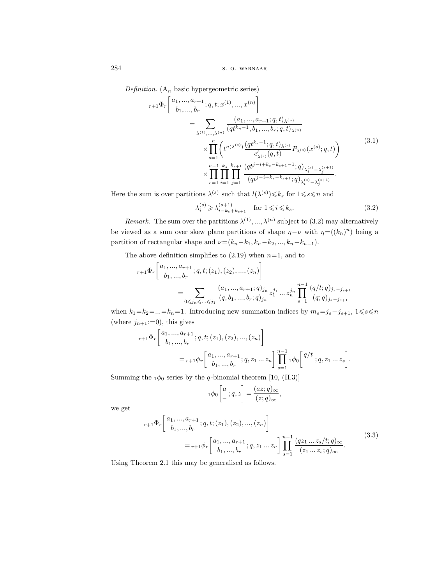Definition. ( $A_n$  basic hypergeometric series)

$$
r+1\Phi_r\left[\begin{array}{c} a_1, ..., a_{r+1} \\ b_1, ..., b_r \end{array} ; q, t; x^{(1)}, ..., x^{(n)} \right] = \sum_{\lambda^{(1)}, ..., \lambda^{(n)}} \frac{(a_1, ..., a_{r+1}; q, t)_{\lambda^{(n)}}}{(qt^{k_n-1}, b_1, ..., b_r; q, t)_{\lambda^{(n)}}} \times \prod_{s=1}^n \left( t^{n(\lambda^{(s)})} \frac{(qt^{k_s-1}; q, t)_{\lambda^{(s)}}}{c'_{\lambda^{(s)}}(q, t)} P_{\lambda^{(s)}}(x^{(s)}; q, t) \right) \times \prod_{s=1}^{n-1} \prod_{i=1}^{k_s} \prod_{j=1}^{k_{s+1}} \frac{(qt^{j-i+k_s-k_{s+1}-1}; q)_{\lambda_i^{(s)}-\lambda_j^{(s+1)}}}{(qt^{j-i+k_s-k_{s+1}}; q)_{\lambda_i^{(s)}-\lambda_j^{(s+1)}}}. \tag{3.1}
$$

Here the sum is over partitions  $\lambda^{(s)}$  such that  $l(\lambda^{(s)}) \leq k_s$  for  $1 \leq s \leq n$  and

$$
\lambda_i^{(s)} \geqslant \lambda_{i-k_s+k_{s+1}}^{(s+1)} \quad \text{for } 1 \leqslant i \leqslant k_s. \tag{3.2}
$$

*Remark.* The sum over the partitions  $\lambda^{(1)}, \ldots, \lambda^{(n)}$  subject to (3.2) may alternatively be viewed as a sum over skew plane partitions of shape  $\eta-\nu$  with  $\eta=((k_n)^n)$  being a partition of rectangular shape and  $\nu=(k_n-k_1, k_n-k_2, ..., k_n-k_{n-1}).$ 

The above definition simplifies to  $(2.19)$  when  $n=1$ , and to

$$
r+1\Phi_r\left[\begin{matrix}a_1, ..., a_{r+1} \\ b_1, ..., b_r\end{matrix}; q, t; (z_1), (z_2), ..., (z_n)\right]
$$
  
= 
$$
\sum_{0 \leq j_1 \leq ... \leq j_1} \frac{(a_1, ..., a_{r+1}; q)_{j_n}}{(q, b_1, ..., b_r; q)_{j_n}} z_1^{j_1} ... z_n^{j_n} \prod_{s=1}^{n-1} \frac{(q/t; q)_{j_s - j_{s+1}}}{(q; q)_{j_s - j_{s+1}}}
$$

when  $k_1=k_2=...=k_n=1$ . Introducing new summation indices by  $m_s=j_s-j_{s+1}, 1\le s\le n$ (where  $j_{n+1} := 0$ ), this gives

$$
{}_{r+1}\Phi_r\left[\begin{array}{c} a_1, ..., a_{r+1} \\ b_1, ..., b_r \end{array}; q, t; (z_1), (z_2), ..., (z_n)\right]
$$
  
= 
$$
{}_{r+1}\phi_r\left[\begin{array}{c} a_1, ..., a_{r+1} \\ b_1, ..., b_r \end{array}; q, z_1 ... z_n\right] \prod_{s=1}^{n-1} {}_1\phi_0\left[\begin{array}{c} q/t \\ - \end{array}; q, z_1 ... z_s\right].
$$

Summing the  $_1\phi_0$  series by the q-binomial theorem [10, (II.3)]

$$
{}_1\phi_0\bigg[{}^a_-,q,z\bigg]=\frac{(az;q)_\infty}{(z;q)_\infty},
$$

we get

$$
{}_{r+1}\Phi_r\left[\begin{array}{c} a_1, ..., a_{r+1} \\ b_1, ..., b_r \end{array}; q, t; (z_1), (z_2), ..., (z_n) \right]
$$
  
=  ${}_{r+1}\phi_r\left[\begin{array}{c} a_1, ..., a_{r+1} \\ b_1, ..., b_r \end{array}; q, z_1 ... z_n \right] \prod_{s=1}^{n-1} \frac{(qz_1 ... z_s/t; q)_{\infty}}{(z_1 ... z_s; q)_{\infty}}.$  (3.3)

Using Theorem 2.1 this may be generalised as follows.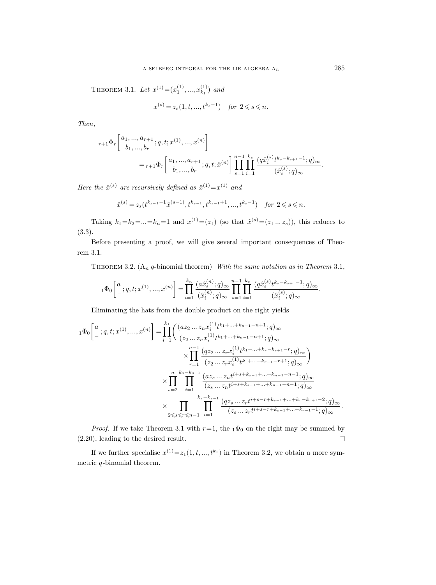THEOREM 3.1. Let  $x^{(1)} = (x_1^{(1)}, ..., x_{k_1}^{(1)})$  $\binom{1}{k_1}$  and

$$
x^{(s)} = z_s(1, t, ..., t^{k_s - 1}) \quad \text{for } 2 \leq s \leq n.
$$

Then,

$$
\begin{split} & r+1\Phi_{r}\bigg[ {a_1,...,a_{r+1}\atop b_1,...,b_r};q,t;x^{(1)},...,x^{(n)}\bigg]\\ & =r+1\Phi_{r}\bigg[ {a_1,...,a_{r+1}\atop b_1,...,b_r};q,t;\hat{x}^{(n)}\bigg]\prod_{s=1}^{n-1}\prod_{i=1}^{k_s}\frac{(q\hat{x}^{(s)}_i t^{k_s-k_{s+1}-1};q)_\infty}{(\hat{x}^{(s)}_i;q)_\infty}. \end{split}
$$

Here the  $\hat{x}^{(s)}$  are recursively defined as  $\hat{x}^{(1)} = x^{(1)}$  and

$$
\hat{x}^{(s)} = z_s(t^{k_{s-1}-1}\hat{x}^{(s-1)}, t^{k_{s-1}}, t^{k_{s-1}+1}, \dots, t^{k_s-1}) \quad \text{for } 2 \leq s \leq n.
$$

Taking  $k_1 = k_2 = ... = k_n = 1$  and  $x^{(1)} = (z_1)$  (so that  $\hat{x}^{(s)} = (z_1 ... z_s)$ ), this reduces to (3.3).

Before presenting a proof, we will give several important consequences of Theorem 3.1.

THEOREM 3.2.  $(A_n q\text{-binomial theorem})$  With the same notation as in Theorem 3.1,

$$
{}_1\Phi_0\bigg[\,{}_a^a\,;q,t;x^{(1)},...,x^{(n)}\bigg] = \prod_{i=1}^{k_n} \frac{(a\hat{x}_i^{(n)};q)_\infty}{(\hat{x}_i^{(n)};q)_\infty} \prod_{s=1}^{n-1} \prod_{i=1}^{k_s} \frac{(q\hat{x}_i^{(s)}t^{k_s-k_{s+1}-1};q)_\infty}{(\hat{x}_i^{(s)};q)_\infty}.
$$

Eliminating the hats from the double product on the right yields

$$
\begin{split} {}_{1}\Phi_{0}&\bigg[\begin{matrix}a\\ \ - \end{matrix};q,t;x^{(1)},...,x^{(n)}\bigg] =\prod_{i=1}^{k_{1}}\bigg(\frac{(az_{2}\ldots z_{n}x_{i}^{(1)}t^{k_{1}+...+k_{n-1}-n+1};q)_{\infty}}{(z_{2}\ldots z_{n}x_{i}^{(1)}t^{k_{1}+...+k_{n-1}-n+1};q)_{\infty}} \\ &\times\prod_{r=1}^{n-1}\frac{(qz_{2}\ldots z_{r}x_{i}^{(1)}t^{k_{1}+...+k_{r}-k_{r+1}-r};q)_{\infty}}{(z_{2}\ldots z_{r}x_{i}^{(1)}t^{k_{1}+...+k_{r-1}-r+1};q)_{\infty}}\bigg)\\ &\times\prod_{s=2}^{n}\prod_{i=1}^{k_{s}-k_{s-1}}\frac{(az_{s}\ldots z_{n}t^{i+s+k_{s-1}+...+k_{n-1}-n-1};q)_{\infty}}{(z_{s}\ldots z_{n}t^{i+s+k_{s-1}+...+k_{n-1}-n-1};q)_{\infty}}\\ &\times\prod_{2\leqslant s\leqslant r\leqslant n-1}\prod_{i=1}^{k_{s}-k_{s-1}}\frac{(qz_{s}\ldots z_{r}t^{i+s-r+k_{s-1}+...+k_{r}-k_{r+1}-2};q)_{\infty}}{(z_{s}\ldots z_{r}t^{i+s-r+k_{s-1}+...+k_{r-1}-1};q)_{\infty}}.\end{split}
$$

*Proof.* If we take Theorem 3.1 with  $r=1$ , the  $_1\Phi_0$  on the right may be summed by (2.20), leading to the desired result.  $\hfill\square$ 

If we further specialise  $x^{(1)} = z_1(1, t, ..., t^{k_1})$  in Theorem 3.2, we obtain a more symmetric  $q$ -binomial theorem.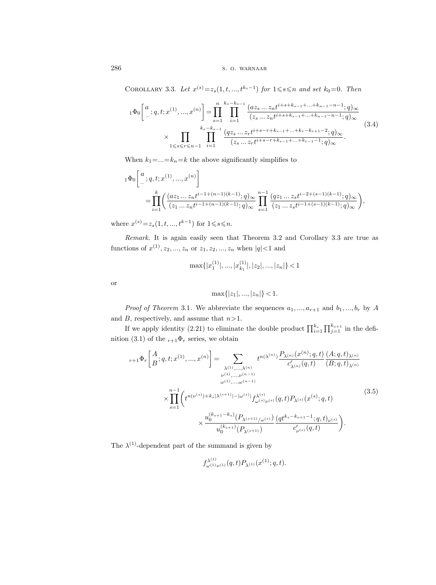COROLLARY 3.3. Let  $x^{(s)} = z_s(1, t, ..., t^{k_s-1})$  for  $1 \leq s \leq n$  and set  $k_0 = 0$ . Then

$$
{}_{1}\Phi_{0}\left[^{a}_{-};q,t;x^{(1)},...,x^{(n)}\right] = \prod_{s=1}^{n} \prod_{i=1}^{k_{s}-k_{s}-1} \frac{(az_{s}...z_{n}t^{i+s+k_{s-1}+...+k_{n-1}-n-1};q)_{\infty}}{(z_{s}...z_{n}t^{i+s+k_{s-1}+...+k_{n-1}-n-1};q)_{\infty}}
$$
  

$$
\times \prod_{1 \leq s \leq r \leq n-1} \prod_{i=1}^{k_{s}-k_{s-1}} \frac{(qz_{s}...z_{r}t^{i+s-r+k_{s-1}+...+k_{r}-k_{r+1}-2};q)_{\infty}}{(z_{s}...z_{r}t^{i+s-r+k_{s-1}+...+k_{r-1}-1};q)_{\infty}}.
$$
(3.4)

When  $k_1 = ... = k_n = k$  the above significantly simplifies to

$$
\begin{split} {}_1\Phi_0 & \Bigg[ \begin{matrix} a\\ \mbox{ } \end{matrix}; q, t; x^{(1)}, ..., x^{(n)} \Bigg] \\ & = \prod_{i=1}^k \bigg( \frac{(az_1 \ldots z_n t^{i-1+(n-1)(k-1)}; q)_\infty}{(z_1 \ldots z_n t^{i-1+(n-1)(k-1)}; q)_\infty} \prod_{s=1}^{n-1} \frac{(qz_1 \ldots z_s t^{i-2+(s-1)(k-1)}; q)_\infty}{(z_1 \ldots z_s t^{i-1+(s-1)(k-1)}; q)_\infty} \bigg), \end{split}
$$

where  $x^{(s)} = z_s(1, t, ..., t^{k-1})$  for  $1 \leq s \leq n$ .

Remark. It is again easily seen that Theorem 3.2 and Corollary 3.3 are true as functions of  $x^{(1)}, z_2, ..., z_n$  or  $z_1, z_2, ..., z_n$  when  $|q| < 1$  and

$$
\max\{|x_1^{(1)}|, ..., |x_{k_1}^{(1)}|, |z_2|, ..., |z_n|\} < 1
$$

or

$$
\max\{|z_1|, ..., |z_n|\} < 1.
$$

*Proof of Theorem* 3.1. We abbreviate the sequences  $a_1, ..., a_{r+1}$  and  $b_1, ..., b_r$  by A and  $B$ , respectively, and assume that  $n>1$ .

If we apply identity (2.21) to eliminate the double product  $\prod_{i=1}^{k_s} \prod_{j=1}^{k_{s+1}}$  in the definition (3.1) of the  $r+1\Phi_r$  series, we obtain

$$
r+1\Phi_r\left[\begin{array}{c} A\\ B \end{array};q,t;x^{(1)},...,x^{(n)} \right] = \sum_{\substack{\lambda^{(1)},..., \lambda^{(n)} \\ \nu^{(1)},..., \nu^{(n-1)} \\ \omega^{(1)},..., \omega^{(n-1)}}} t^{n(\lambda^{(n)})} \frac{P_{\lambda^{(n)}}(x^{(n)};q,t)}{c'_{\lambda^{(n)}}(q,t)} \frac{(A;q,t)_{\lambda^{(n)}}}{(B;q,t)_{\lambda^{(n)}}}
$$
\n
$$
\times \prod_{s=1}^{n-1} \left( t^{n(\nu^{(s)})+k_s|\lambda^{(s+1)}| - |\omega^{(s)}|} f_{\omega^{(s)}\nu^{(s)}}^{\lambda^{(s)}}(q,t) P_{\lambda^{(s)}}(x^{(s)};q,t) \right)
$$
\n
$$
\times \frac{u_0^{(k_{s+1}-k_s)}(P_{\lambda^{(s+1)}/\omega^{(s)}})}{u_0^{(k_{s+1})}(P_{\lambda^{(s+1)}})} \frac{(qt^{k_s-k_{s+1}-1};q,t)_{\nu^{(s)}}}{c'_{\nu^{(s)}}(q,t)} \right).
$$
\n(3.5)

The  $\lambda^{(1)}$ -dependent part of the summand is given by

$$
f_{\omega^{(1)}\nu^{(1)}}^{\lambda^{(1)}}(q,t)P_{\lambda^{(1)}}(x^{(1)};q,t).
$$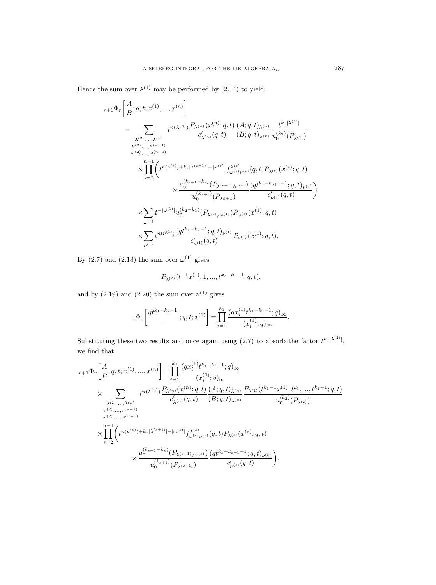Hence the sum over  $\lambda^{(1)}$  may be performed by (2.14) to yield

$$
\begin{split} & r+1\Phi_{r}\bigg[\frac{A}{B};q,t;x^{(1)},...,x^{(n)}\bigg]\\ &=\sum_{\substack{\lambda^{(2)},...,\lambda^{(n)}\\ \nu^{(2)},...,\nu^{(n-1)}}}t^{n(\lambda^{(n)})}\frac{P_{\lambda^{(n)}}(x^{(n)};q,t)}{c'_{\lambda^{(n)}}(q,t)}\frac{(A;q,t)_{\lambda^{(n)}}}{(B;q,t)_{\lambda^{(n)}}}\frac{t^{k_{1}|\lambda^{(2)}|}}{u_{0}^{(k_{2})}(P_{\lambda^{(2)}})}\\ &\times\prod_{s=2}^{n-1}\bigg(t^{n(\nu^{(s)})+k_{s}|\lambda^{(s+1)}|-|\omega^{(s)}|}f_{\omega^{(s)}\nu^{(s)}}^{\lambda^{(s)}}(q,t)P_{\lambda^{(s)}}(x^{(s)};q,t)\\ &\times\frac{u_{0}^{(k_{s+1}-k_{s})}(P_{\lambda^{(s+1)}/\omega^{(s)}})}{u_{0}^{(k_{s+1})}(P_{\lambda^{s+1}})}\frac{(qt^{k_{s}-k_{s+1}-1};q,t)_{\nu^{(s)}}}{c'_{\nu^{(s)}}(q,t)}\bigg)\\ &\times\sum_{\omega^{(1)}}t^{-|\omega^{(1)}|}u_{0}^{(k_{2}-k_{1})}(P_{\lambda^{(2)}/\omega^{(1)}})P_{\omega^{(1)}}(x^{(1)};q,t)\\ &\times\sum_{\nu^{(1)}}t^{n(\nu^{(1)})}\frac{(qt^{k_{1}-k_{2}-1};q,t)_{\nu^{(1)}}}{c'_{\nu^{(1)}}(q,t)}P_{\nu^{(1)}}(x^{(1)};q,t). \end{split}
$$

By  $(2.7)$  and  $(2.18)$  the sum over  $\omega^{(1)}$  gives

$$
P_{\lambda^{(2)}}(t^{-1}x^{(1)}, 1, ..., t^{k_2 - k_1 - 1}; q, t),
$$

and by  $(2.19)$  and  $(2.20)$  the sum over  $\nu^{(1)}$  gives

$$
{}_1\Phi_0\bigg[\begin{matrix}qt^{k_1-k_2-1}\\-\end{matrix};q,t;x^{(1)}\bigg]=\prod_{i=1}^{k_1}\frac{(qx_i^{(1)}t^{k_1-k_2-1};q)_\infty}{(x_i^{(1)};q)_\infty}.
$$

Substituting these two results and once again using (2.7) to absorb the factor  $t^{k_1|\lambda^{(2)}|}$ , we find that

$$
\begin{split} & r+1\Phi_{r}\bigg[\frac{A}{B};q,t;x^{(1)},...,x^{(n)}\bigg]=\prod_{i=1}^{k_{1}}\frac{\big(qx_{i}^{(1)}t^{k_{1}-k_{2}-1};q\big)\infty}{(x_{i}^{(1)};q)_{\infty}}\\ &\times \sum_{\lambda^{(2)},...,\lambda^{(n)}\atop \nu^{(2)},...,\nu^{(n-1)}}t^{n(\lambda^{(n)})}\frac{P_{\lambda^{(n)}}(x^{(n)};q,t)}{c'_{\lambda^{(n)}}(q,t)}\frac{(A;q,t)_{\lambda^{(n)}}}{(B;q,t)_{\lambda^{(n)}}}\frac{P_{\lambda^{(2)}}(t^{k_{1}-1}x^{(1)},t^{k_{1}},...,t^{k_{2}-1};q,t)}{u_{0}^{(k_{2})}(P_{\lambda^{(2)}})}\\ &\times\prod_{s=2}^{n-1}\bigg(t^{n(\nu^{(s)})+k_{s}|\lambda^{(s+1)}|-|\omega^{(s)}|}f_{\omega^{(s)}\nu^{(s)}}^{\lambda^{(s)}}(q,t)P_{\lambda^{(s)}}(x^{(s)};q,t)\\ &\times\frac{u_{0}^{(k_{s+1}-k_{s})}(P_{\lambda^{(s+1)}/\omega^{(s)}})}{u_{0}^{(k_{s+1})}(P_{\lambda^{(s+1)}})}\frac{(qt^{k_{s}-k_{s+1}-1};q,t)_{\nu^{(s)}}}{c'_{\nu^{(s)}}(q,t)}\bigg). \end{split}
$$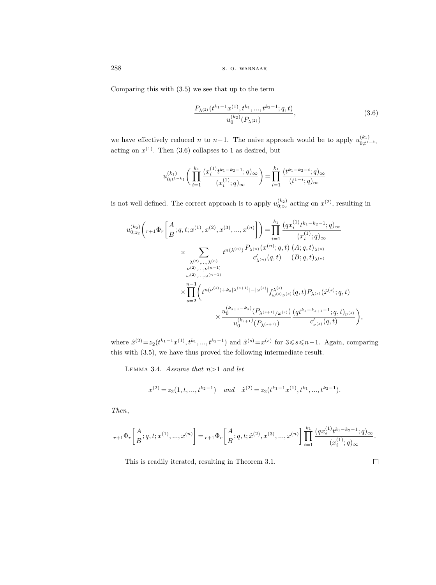Comparing this with (3.5) we see that up to the term

$$
\frac{P_{\lambda^{(2)}}(t^{k_1-1}x^{(1)}, t^{k_1}, \dots, t^{k_2-1}; q, t)}{u_0^{(k_2)}(P_{\lambda^{(2)}})},
$$
\n(3.6)

we have effectively reduced n to n–1. The naive approach would be to apply  $u_{0,t}^{(k_1)}$  $_{0;t^{1-k_1}}$ acting on  $x^{(1)}$ . Then  $(3.6)$  collapses to 1 as desired, but

$$
u_{0;t^{1-k_1}}^{(k_1)}\bigg(\prod_{i=1}^{k_1}\frac{(x_i^{(1)}t^{k_1-k_2-1};q)_\infty}{(x_i^{(1)};q)_\infty}\bigg)=\prod_{i=1}^{k_1}\frac{(t^{k_1-k_2-i};q)_\infty}{(t^{1-i};q)_\infty}
$$

is not well defined. The correct approach is to apply  $u_{0;z_2}^{(k_2)}$  acting on  $x^{(2)}$ , resulting in

$$
\begin{split} u_{0;z_{2}}^{(k_{2})}\bigg(r_{+1}\Phi_{r}\bigg[\frac{A}{B};q,t;x^{(1)},x^{(2)},x^{(3)},...,x^{(n)}\bigg]\bigg) & =\prod_{i=1}^{k_{1}}\frac{\big(qx_{i}^{(1)}t^{k_{1}-k_{2}-1};q)_{\infty}}{(x_{i}^{(1)};q)_{\infty}} \\ & \times \sum_{\substack{\lambda^{(2)},\ldots,\lambda^{(n)} \\ \nu^{(2)},\ldots,\nu^{(n-1)} \\ \omega^{(2)},\ldots,\omega^{(n-1)} }} t^{n(\lambda^{(n)})}\frac{P_{\lambda^{(n)}}(x^{(n)};q,t)}{c'_{\lambda^{(n)}}(q,t)}\frac{(A;q,t)_{\lambda^{(n)}}}{(B;q,t)_{\lambda^{(n)}}} \\ & \times \prod_{s=2}^{n-1}\bigg(t^{n(\nu^{(s)})+k_{s}|\lambda^{(s+1)}|-|\omega^{(s)}|}f_{\omega^{(s)}\nu^{(s)}}^{\lambda^{(s)}}(q,t)P_{\lambda^{(s)}}(\hat{x}^{(s)};q,t) \\ & \times \frac{u_{0}^{(k_{s+1}-k_{s})}(P_{\lambda^{(s+1)}/\omega^{(s)}})}{u_{0}^{(k_{s+1})}(P_{\lambda^{(s+1)}})}\frac{(qt^{k_{s}-k_{s+1}-1};q,t)_{\nu^{(s)}}}{c'_{\nu^{(s)}}(q,t)}\bigg) \end{split}
$$

where  $\hat{x}^{(2)} = z_2(t^{k_1-1}x^{(1)}, t^{k_1}, ..., t^{k_2-1})$  and  $\hat{x}^{(s)} = x^{(s)}$  for  $3 \leq s \leq n-1$ . Again, comparing this with (3.5), we have thus proved the following intermediate result.

LEMMA 3.4. Assume that  $n>1$  and let

$$
x^{(2)}=z_2(1,t,...,t^{k_2-1}) \quad and \quad \hat{x}^{(2)}=z_2(t^{k_1-1}x^{(1)},t^{k_1},...,t^{k_2-1}).
$$

Then,

$$
{}_{r+1}\Phi_r\bigg[\frac{A}{B};q,t;x^{(1)},...,x^{(n)}\bigg]= {}_{r+1}\Phi_r\bigg[\frac{A}{B};q,t;\hat{x}^{(2)},x^{(3)},...,x^{(n)}\bigg]\prod_{i=1}^{k_1}\frac{(qx_i^{(1)}t^{k_1-k_2-1};q)_\infty}{(x_i^{(1)};q)_\infty}.
$$

This is readily iterated, resulting in Theorem 3.1.

$$
\Box
$$

,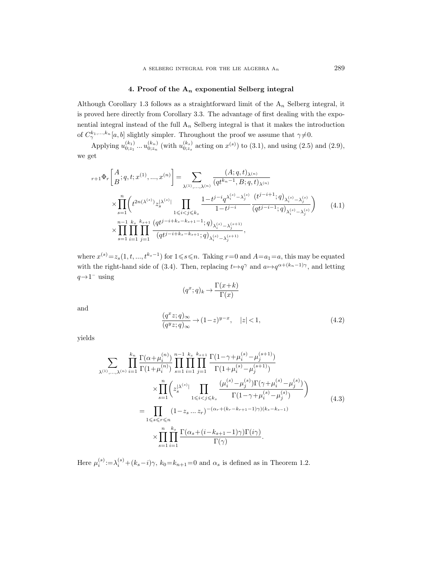## 4. Proof of the  $A_n$  exponential Selberg integral

Although Corollary 1.3 follows as a straightforward limit of the  $A_n$  Selberg integral, it is proved here directly from Corollary 3.3. The advantage of first dealing with the exponential integral instead of the full  $A_n$  Selberg integral is that it makes the introduction of  $C^{k_1,\ldots,k_n}_{\gamma}[a,b]$  slightly simpler. Throughout the proof we assume that  $\gamma \neq 0$ .

Applying  $u_{0;z_1}^{(k_1)}...u_{0;z_n}^{(k_n)}$  (with  $u_{0;z_s}^{(k_s)}$  acting on  $x^{(s)}$ ) to (3.1), and using (2.5) and (2.9), we get

$$
r+1\Phi_r\left[\begin{array}{l} A\\ B\\ \end{array};q,t;x^{(1)},...,x^{(n)}\right] = \sum_{\lambda^{(1)},...,\lambda^{(n)}} \frac{(A;q,t)_{\lambda^{(n)}}}{(qt^{k_n-1},B;q,t)_{\lambda^{(n)}}} \times \prod_{s=1}^n \left(t^{2n(\lambda^{(s)})} z_s^{|\lambda^{(s)}|} \prod_{1\leq i < j\leq k_s} \frac{1-t^{j-i}q^{\lambda_i^{(s)}} - \lambda_j^{(s)}}{1-t^{j-i}} \frac{(t^{j-i+1};q)_{\lambda_i^{(s)}-\lambda_j^{(s)}}}{(qt^{j-i-1};q)_{\lambda_i^{(s)}-\lambda_j^{(s)}}}\right) \tag{4.1}
$$
\n
$$
\times \prod_{s=1}^{n-1} \prod_{i=1}^{k_s} \prod_{j=1}^{k_{s+1}} \frac{(qt^{j-i+k_s-k_{s+1}-1};q)_{\lambda_i^{(s)}-\lambda_j^{(s+1)}}}{(qt^{j-i+k_s-k_{s+1}};q)_{\lambda_i^{(s)}-\lambda_j^{(s+1)}}},
$$

where  $x^{(s)} = z_s(1, t, ..., t^{k_s-1})$  for  $1 \leq s \leq n$ . Taking  $r = 0$  and  $A = a_1 = a$ , this may be equated with the right-hand side of (3.4). Then, replacing  $t \mapsto q^{\gamma}$  and  $a \mapsto q^{\alpha+(k_n-1)\gamma}$ , and letting  $q\rightarrow1^-$  using

$$
(q^x; q)_k \to \frac{\Gamma(x+k)}{\Gamma(x)}
$$

and

$$
\frac{(q^x z;q)_\infty}{(q^y z;q)_\infty} \to (1-z)^{y-x}, \quad |z| < 1,\tag{4.2}
$$

yields

$$
\sum_{\lambda^{(1)},\dots,\lambda^{(n)}} \prod_{i=1}^{k_n} \frac{\Gamma(\alpha+\mu_i^{(n)})}{\Gamma(1+\mu_i^{(n)})} \prod_{s=1}^{n-1} \prod_{i=1}^{k_s} \prod_{j=1}^{k_{s+1}} \frac{\Gamma(1-\gamma+\mu_i^{(s)}-\mu_j^{(s+1)})}{\Gamma(1+\mu_i^{(s)}-\mu_j^{(s+1)})}
$$
\n
$$
\times \prod_{s=1}^{n} \left( z_s^{|\lambda^{(s)}|} \prod_{1 \le i < j \le k_s} \frac{(\mu_i^{(s)}-\mu_j^{(s)})\Gamma(\gamma+\mu_i^{(s)}-\mu_j^{(s)})}{\Gamma(1-\gamma+\mu_i^{(s)}-\mu_j^{(s)})} \right)
$$
\n
$$
= \prod_{1 \le s \le r \le n} (1-z_s \dots z_r)^{-(\alpha_r+(k_r-k_{r+1}-1)\gamma)(k_s-k_{s-1})}
$$
\n
$$
\times \prod_{s=1}^{n} \prod_{i=1}^{k_s} \frac{\Gamma(\alpha_s+(i-k_{s+1}-1)\gamma)\Gamma(i\gamma)}{\Gamma(\gamma)}.
$$
\n(4.3)

Here  $\mu_i^{(s)} := \lambda_i^{(s)} + (k_s - i)\gamma$ ,  $k_0 = k_{n+1} = 0$  and  $\alpha_s$  is defined as in Theorem 1.2.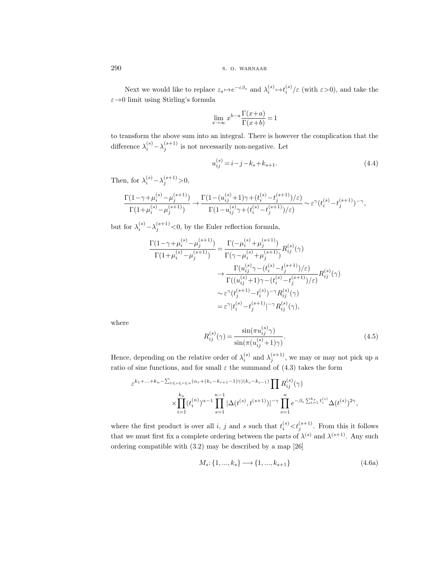Next we would like to replace  $z_s \mapsto e^{-\varepsilon \beta_s}$  and  $\lambda_i^{(s)} \mapsto t_i^{(s)}/\varepsilon$  (with  $\varepsilon > 0$ ), and take the  $\varepsilon \rightarrow 0$  limit using Stirling's formula

$$
\lim_{x \to \infty} x^{b-a} \frac{\Gamma(x+a)}{\Gamma(x+b)} = 1
$$

to transform the above sum into an integral. There is however the complication that the difference  $\lambda_i^{(s)} - \lambda_j^{(s+1)}$  is not necessarily non-negative. Let

$$
u_{ij}^{(s)} = i - j - k_s + k_{s+1}.
$$
\n(4.4)

Then, for  $\lambda_i^{(s)} - \lambda_j^{(s+1)} > 0$ ,

$$
\frac{\Gamma(1-\gamma+\mu_i^{(s)}-\mu_j^{(s+1)})}{\Gamma(1+\mu_i^{(s)}-\mu_j^{(s+1)})}\to \frac{\Gamma(1-(u_{ij}^{(s)}+1)\gamma+(t_i^{(s)}-t_j^{(s+1)})/\varepsilon)}{\Gamma(1-u_{ij}^{(s)}\gamma+(t_i^{(s)}-t_j^{(s+1)})/\varepsilon)}\sim \varepsilon^\gamma(t_i^{(s)}-t_j^{(s+1)})^{-\gamma},
$$

but for  $\lambda_i^{(s)} - \lambda_j^{(s+1)} < 0$ , by the Euler reflection formula,

$$
\frac{\Gamma(1-\gamma+\mu_{i}^{(s)}-\mu_{j}^{(s+1)})}{\Gamma(1+\mu_{i}^{(s)}-\mu_{j}^{(s+1)})} = \frac{\Gamma(-\mu_{i}^{(s)}+\mu_{j}^{(s+1)})}{\Gamma(\gamma-\mu_{i}^{(s)}+\mu_{j}^{(s+1)})}R_{ij}^{(s)}(\gamma) \n\to \frac{\Gamma(u_{ij}^{(s)}\gamma-(t_{i}^{(s)}-t_{j}^{(s+1)})/\varepsilon)}{\Gamma((u_{ij}^{(s)}+1)\gamma-(t_{i}^{(s)}-t_{j}^{(s+1)})/\varepsilon)}R_{ij}^{(s)}(\gamma) \n\sim \varepsilon^{\gamma}(t_{j}^{(s+1)}-t_{i}^{(s)})^{-\gamma}R_{ij}^{(s)}(\gamma) \n= \varepsilon^{\gamma}|t_{i}^{(s)}-t_{j}^{(s+1)}|^{-\gamma}R_{ij}^{(s)}(\gamma),
$$

where

$$
R_{ij}^{(s)}(\gamma) = \frac{\sin(\pi u_{ij}^{(s)}\gamma)}{\sin(\pi(u_{ij}^{(s)} + 1)\gamma)}.
$$
\n(4.5)

Hence, depending on the relative order of  $\lambda_i^{(s)}$  and  $\lambda_j^{(s+1)}$ , we may or may not pick up a ratio of sine functions, and for small  $\varepsilon$  the summand of (4.3) takes the form

$$
\varepsilon^{k_1 + \ldots + k_n - \sum_{1 \le s \le r \le n} (\alpha_r + (k_r - k_{r+1} - 1)\gamma)(k_s - k_{s-1})} \prod_{j \in \mathbb{Z}} R_{ij}^{(s)}(\gamma)
$$

$$
\times \prod_{i=1}^{k_n} (t_i^{(n)})^{\alpha - 1} \prod_{s=1}^{n-1} |\Delta(t^{(s)}, t^{(s+1)})|^{-\gamma} \prod_{s=1}^n e^{-\beta_s \sum_{i=1}^{k_s} t_i^{(s)}} \Delta(t^{(s)})^{2\gamma},
$$

where the first product is over all i, j and s such that  $t_i^{(s)} < t_j^{(s+1)}$ . From this it follows that we must first fix a complete ordering between the parts of  $\lambda^{(s)}$  and  $\lambda^{(s+1)}$ . Any such ordering compatible with (3.2) may be described by a map [26]

$$
M_s: \{1, ..., k_s\} \longrightarrow \{1, ..., k_{s+1}\}\
$$
\n(4.6a)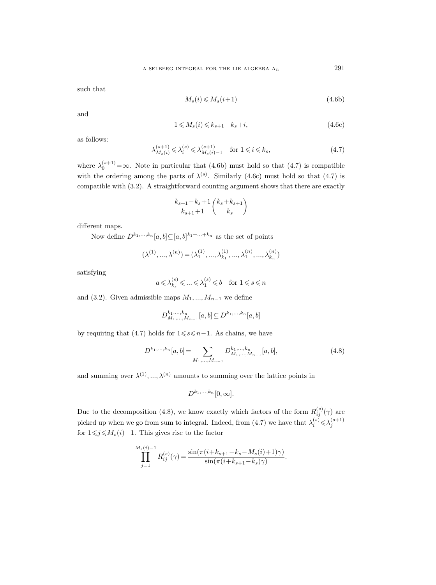such that

$$
M_s(i) \leqslant M_s(i+1) \tag{4.6b}
$$

and

$$
1 \leqslant M_s(i) \leqslant k_{s+1} - k_s + i,\tag{4.6c}
$$

as follows:

$$
\lambda_{M_s(i)}^{(s+1)} \leqslant \lambda_i^{(s)} \leqslant \lambda_{M_s(i)-1}^{(s+1)} \quad \text{for } 1 \leqslant i \leqslant k_s,
$$
\n
$$
(4.7)
$$

where  $\lambda_0^{(s+1)} = \infty$ . Note in particular that (4.6b) must hold so that (4.7) is compatible with the ordering among the parts of  $\lambda^{(s)}$ . Similarly (4.6c) must hold so that (4.7) is compatible with (3.2). A straightforward counting argument shows that there are exactly

$$
\frac{k_{s+1} - k_s + 1}{k_{s+1} + 1} \binom{k_s + k_{s+1}}{k_s}
$$

different maps.

Now define  $D^{k_1,...,k_n}[a,b] \subseteq [a,b]^{k_1+...+k_n}$  as the set of points

$$
(\lambda^{(1)},...,\lambda^{(n)})=(\lambda^{(1)}_1,...,\lambda^{(1)}_{k_1},...,\lambda^{(n)}_1,...,\lambda^{(n)}_{k_n})
$$

satisfying

$$
a \leqslant \lambda_{k_s}^{(s)} \leqslant \ldots \leqslant \lambda_1^{(s)} \leqslant b \quad \text{for } 1 \leqslant s \leqslant n
$$

and (3.2). Given admissible maps  $M_1, ..., M_{n-1}$  we define

$$
D_{M_1,...,M_{n-1}}^{k_1,...,k_n}[a,b] \subseteq D^{k_1,...,k_n}[a,b]
$$

by requiring that (4.7) holds for  $1 \le s \le n-1$ . As chains, we have

$$
D^{k_1,...,k_n}[a,b] = \sum_{M_1,...,M_{n-1}} D^{k_1,...,k_n}_{M_1,...,M_{n-1}}[a,b],
$$
\n(4.8)

and summing over  $\lambda^{(1)},...,\lambda^{(n)}$  amounts to summing over the lattice points in

$$
D^{k_1,\ldots,k_n}[0,\infty].
$$

Due to the decomposition (4.8), we know exactly which factors of the form  $R_{ij}^{(s)}(\gamma)$  are picked up when we go from sum to integral. Indeed, from (4.7) we have that  $\lambda_i^{(s)} \leq \lambda_j^{(s+1)}$ for  $1 \leq j \leq M_s(i) - 1$ . This gives rise to the factor

$$
\prod_{j=1}^{M_s(i)-1} R_{ij}^{(s)}(\gamma) = \frac{\sin(\pi(i+k_{s+1}-k_s-M_s(i)+1)\gamma)}{\sin(\pi(i+k_{s+1}-k_s)\gamma)}.
$$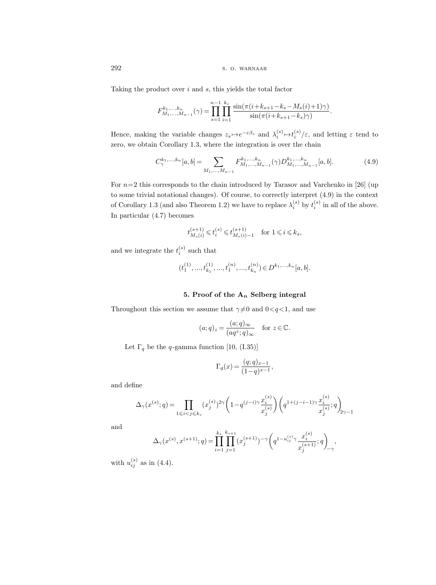Taking the product over  $i$  and  $s$ , this yields the total factor

$$
F_{M_1,...,M_{n-1}}^{k_1,...,k_n}(\gamma) = \prod_{s=1}^{n-1} \prod_{i=1}^{k_s} \frac{\sin(\pi(i+k_{s+1}-k_s-M_s(i)+1)\gamma)}{\sin(\pi(i+k_{s+1}-k_s)\gamma)}.
$$

Hence, making the variable changes  $z_s \mapsto e^{-\varepsilon \beta_s}$  and  $\lambda_i^{(s)} \mapsto t_i^{(s)}/\varepsilon$ , and letting  $\varepsilon$  tend to zero, we obtain Corollary 1.3, where the integration is over the chain

$$
C^{k_1,\ldots,k_n}_{\gamma}[a,b] = \sum_{M_1,\ldots,M_{n-1}} F^{k_1,\ldots,k_n}_{M_1,\ldots,M_{n-1}}(\gamma) D^{k_1,\ldots,k_n}_{M_1,\ldots,M_{n-1}}[a,b].
$$
\n(4.9)

For  $n=2$  this corresponds to the chain introduced by Tarasov and Varchenko in [26] (up to some trivial notational changes). Of course, to correctly interpret (4.9) in the context of Corollary 1.3 (and also Theorem 1.2) we have to replace  $\lambda_i^{(s)}$  by  $t_i^{(s)}$  in all of the above. In particular (4.7) becomes

$$
t^{(s+1)}_{M_s(i)}\!\leqslant\! t^{(s)}_i\!\leqslant\! t^{(s+1)}_{M_s(i)-1}\quad\text{for }1\!\leqslant\! i\!\leqslant\! k_s,
$$

and we integrate the  $t_i^{(s)}$  such that

$$
(t_1^{(1)},...,t_{k_1}^{(1)},...,t_1^{(n)},...,t_{k_n}^{(n)}) \in D^{k_1,...,k_n}[a,b].
$$

## 5. Proof of the  $A_n$  Selberg integral

Throughout this section we assume that  $\gamma\neq 0$  and  $0< q<1$ , and use

$$
(a;q)_z = \frac{(a;q)_{\infty}}{(aq^z;q)_{\infty}}
$$
 for  $z \in \mathbb{C}$ .

Let  $\Gamma_q$  be the q-gamma function [10, (I.35)]

$$
\Gamma_q(x) = \frac{(q;q)_{x-1}}{(1-q)^{x-1}},
$$

and define

$$
\Delta_\gamma(x^{(s)}; q) \!=\! \prod_{1\leqslant i < j \leqslant k_s} (x^{(s)}_j)^{2\gamma} \bigg(1\!-\! q^{(j-i)\gamma} \frac{x^{(s)}_i}{x^{(s)}_j} \bigg) \bigg(q^{1+(j-i-1)\gamma} \frac{x^{(s)}_i}{x^{(s)}_j}; q \bigg)_{\!\!2\gamma-1}
$$

and

$$
\Delta_{\gamma}(x^{(s)}, x^{(s+1)}; q) = \prod_{i=1}^{k_s} \prod_{j=1}^{k_{s+1}} (x_j^{(s+1)})^{-\gamma} \left( q^{1 - u_{ij}^{(s)}} \gamma \frac{x_i^{(s)}}{x_j^{(s+1)}}; q \right)_{-\gamma},
$$

with  $u_{ij}^{(s)}$  as in (4.4).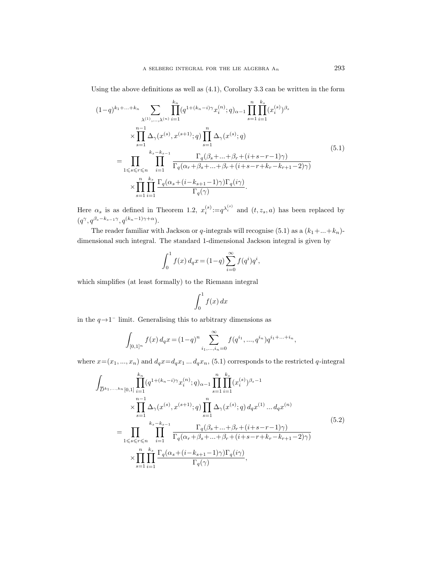Using the above definitions as well as (4.1), Corollary 3.3 can be written in the form

$$
(1-q)^{k_1 + \dots + k_n} \sum_{\lambda^{(1)}, \dots, \lambda^{(n)}} \prod_{i=1}^{k_n} (q^{1 + (k_n - i)\gamma} x_i^{(n)}; q)_{\alpha-1} \prod_{s=1}^n \prod_{i=1}^{k_s} (x_i^{(s)})^{\beta_s}
$$
  

$$
\times \prod_{s=1}^{n-1} \Delta_{\gamma}(x^{(s)}, x^{(s+1)}; q) \prod_{s=1}^n \Delta_{\gamma}(x^{(s)}; q)
$$
  

$$
= \prod_{1 \leq s \leq r \leq n} \prod_{i=1}^{k_s - k_{s-1}} \frac{\Gamma_q(\beta_s + \dots + \beta_r + (i+s-r-1)\gamma)}{\Gamma_q(\alpha_r + \beta_s + \dots + \beta_r + (i+s-r+k_r-k_{r+1}-2)\gamma)}
$$
  

$$
\times \prod_{s=1}^n \prod_{i=1}^{k_s} \frac{\Gamma_q(\alpha_s + (i - k_{s+1} - 1)\gamma) \Gamma_q(i\gamma)}{\Gamma_q(\gamma)}.
$$
  
(5.1)

Here  $\alpha_s$  is as defined in Theorem 1.2,  $x_i^{(s)} := q^{\lambda_i^{(s)}}$  and  $(t, z_s, a)$  has been replaced by  $(q^{\gamma}, q^{\beta_s-k_{s-1}\gamma}, q^{(k_n-1)\gamma+\alpha}).$ 

The reader familiar with Jackson or q-integrals will recognise (5.1) as a  $(k_1 + ... + k_n)$ dimensional such integral. The standard 1-dimensional Jackson integral is given by

$$
\int_0^1 f(x) \, d_q x = (1-q) \sum_{i=0}^\infty f(q^i) q^i,
$$

which simplifies (at least formally) to the Riemann integral

$$
\int_0^1 f(x) \, dx
$$

in the  $q \rightarrow 1^-$  limit. Generalising this to arbitrary dimensions as

$$
\int_{[0,1]^n} f(x) d_q x = (1-q)^n \sum_{i_1,\dots,i_n=0}^{\infty} f(q^{i_1},...,q^{i_n}) q^{i_1+\dots+i_n},
$$

where  $x=(x_1, ..., x_n)$  and  $d_qx=d_qx_1... d_qx_n$ , (5.1) corresponds to the restricted q-integral

$$
\int_{\overline{D}^{k_{1},...,k_{n}}[0,1]} \prod_{i=1}^{k_{n}} (q^{1+(k_{n}-i)\gamma} x_{i}^{(n)}; q)_{\alpha-1} \prod_{s=1}^{n} \prod_{i=1}^{k_{s}} (x_{i}^{(s)})^{\beta_{s}-1} \times \prod_{s=1}^{n-1} \Delta_{\gamma}(x^{(s)}, x^{(s+1)}; q) \prod_{s=1}^{n} \Delta_{\gamma}(x^{(s)}; q) d_{q} x^{(1)} \dots d_{q} x^{(n)}
$$
\n
$$
= \prod_{1 \leq s \leq r \leq n} \prod_{i=1}^{k_{s}-k_{s}-1} \frac{\Gamma_{q}(\beta_{s}+\dots+\beta_{r}+(i+s-r-1)\gamma)}{\Gamma_{q}(\alpha_{r}+\beta_{s}+\dots+\beta_{r}+(i+s-r+k_{r}-k_{r+1}-2)\gamma)} \times \prod_{s=1}^{n} \prod_{i=1}^{k_{s}} \frac{\Gamma_{q}(\alpha_{s}+(i-k_{s+1}-1)\gamma)\Gamma_{q}(i\gamma)}{\Gamma_{q}(\gamma)},
$$
\n(5.2)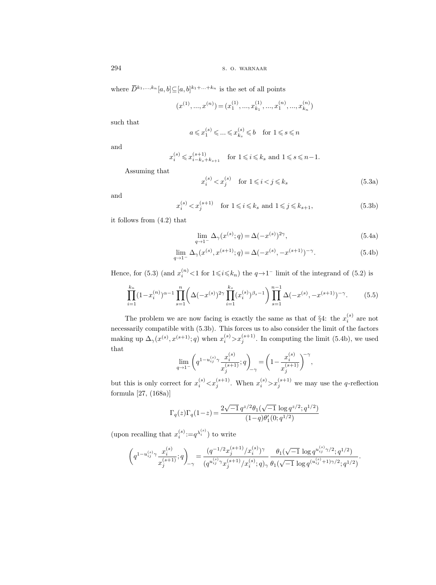where  $\overline{D}^{k_1,...,k_n}[a,b] \subseteq [a,b]^{k_1+...+k_n}$  is the set of all points

$$
(x^{(1)},...,x^{(n)})=(x_1^{(1)},...,x_{k_1}^{(1)},...,x_1^{(n)},...,x_{k_n}^{(n)})\,
$$

such that

$$
a \leqslant x_1^{(s)} \leqslant \ldots \leqslant x_{k_s}^{(s)} \leqslant b \quad \text{for } 1 \leqslant s \leqslant n
$$

and

$$
x_i^{(s)} \leqslant x_{i-k_s+k_{s+1}}^{(s+1)} \quad \text{for } 1 \leqslant i \leqslant k_s \text{ and } 1 \leqslant s \leqslant n-1.
$$

Assuming that

$$
x_i^{(s)} < x_j^{(s)} \quad \text{for } 1 \leq i < j \leq k_s \tag{5.3a}
$$

and

$$
x_i^{(s)} < x_j^{(s+1)} \quad \text{for } 1 \leqslant i \leqslant k_s \text{ and } 1 \leqslant j \leqslant k_{s+1},\tag{5.3b}
$$

it follows from (4.2) that

$$
\lim_{q \to 1^{-}} \Delta_{\gamma}(x^{(s)}; q) = \Delta(-x^{(s)})^{2\gamma},
$$
\n(5.4a)

$$
\lim_{q \to 1^{-}} \Delta_{\gamma}(x^{(s)}, x^{(s+1)}; q) = \Delta(-x^{(s)}, -x^{(s+1)})^{-\gamma}.
$$
\n(5.4b)

Hence, for (5.3) (and  $x_i^{(n)} < 1$  for  $1 \leq i \leq k_n$ ) the  $q \to 1^-$  limit of the integrand of (5.2) is

$$
\prod_{i=1}^{k_n} (1 - x_i^{(n)})^{\alpha - 1} \prod_{s=1}^n \left( \Delta(-x^{(s)})^{2\gamma} \prod_{i=1}^{k_s} (x_i^{(s)})^{\beta_s - 1} \right) \prod_{s=1}^{n-1} \Delta(-x^{(s)}, -x^{(s+1)})^{-\gamma}.
$$
 (5.5)

The problem we are now facing is exactly the same as that of  $\S4$ : the  $x_i^{(s)}$  are not necessarily compatible with (5.3b). This forces us to also consider the limit of the factors making up  $\Delta_{\gamma}(x^{(s)}, x^{(s+1)}; q)$  when  $x_i^{(s)} > x_j^{(s+1)}$ . In computing the limit (5.4b), we used that

$$
\lim_{q \to 1^{-}} \left( q^{1 - u_{ij}^{(s)} \gamma} \frac{x_i^{(s)}}{x_j^{(s+1)}} ; q \right)_{-\gamma} = \left( 1 - \frac{x_i^{(s)}}{x_j^{(s+1)}} \right)^{-\gamma},
$$

but this is only correct for  $x_i^{(s)} < x_j^{(s+1)}$ . When  $x_i^{(s)} > x_j^{(s+1)}$  we may use the q-reflection formula [27, (168a)]

$$
\Gamma_q(z)\Gamma_q(1\!-\!z)\!=\!\frac{2\sqrt{-1}\,q^{z/2}\theta_1(\sqrt{-1}\,\log q^{z/2};q^{1/2})}{(1\!-\!q)\theta_1'(0;q^{1/2})}
$$

(upon recalling that  $x_i^{(s)} := q^{\lambda_i^{(s)}}$ ) to write

$$
\left(q^{1-u_{ij}^{(s)}\gamma}\frac{x_i^{(s)}}{x_j^{(s+1)}};q\right)_{\hspace{-0.7mm}-\gamma}=\frac{(q^{-1/2}x_j^{(s+1)}/x_i^{(s)})^\gamma}{(q^{u_{ij}^{(s)}\gamma}x_j^{(s+1)}/x_i^{(s)};q)_\gamma}\frac{\theta_1(\sqrt{-1}\,\log q^{u_{ij}^{(s)}\gamma/2};q^{1/2})}{\theta_1(\sqrt{-1}\,\log q^{(u_{ij}^{(s)}+1)\gamma/2};q^{1/2})}.
$$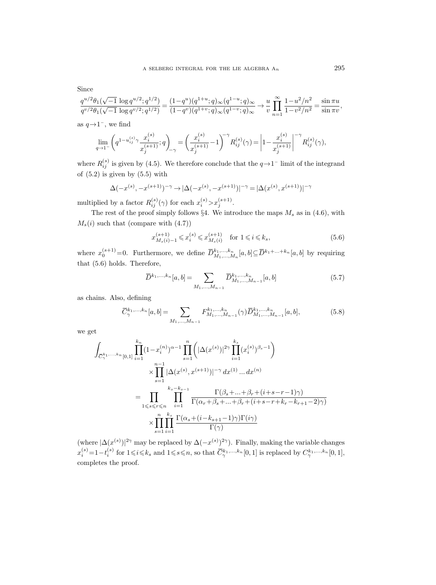Since

$$
\frac{q^{u/2}\theta_1(\sqrt{-1}\,\log q^{u/2};q^{1/2})}{q^{v/2}\theta_1(\sqrt{-1}\,\log q^{v/2};q^{1/2})} = \frac{(1-q^u)(q^{1+u};q)_{\infty}(q^{1-u};q)_{\infty}}{(1-q^v)(q^{1+v};q)_{\infty}(q^{1-v};q)_{\infty}} \to \frac{u}{v} \prod_{n=1}^{\infty} \frac{1-u^2/n^2}{1-v^2/n^2} = \frac{\sin \pi u}{\sin \pi v},
$$

as  $q\rightarrow 1^-$ , we find

$$
\lim_{q\to 1^-}\left(q^{1-u_{ij}^{(s)}\gamma}\frac{x_i^{(s)}}{x_j^{(s+1)}};q\right)_{-\gamma}=\left(\frac{x_i^{(s)}}{x_j^{(s+1)}}-1\right)^{-\gamma}R_{ij}^{(s)}(\gamma) = \left|1-\frac{x_i^{(s)}}{x_j^{(s+1)}}\right|^{-\gamma}R_{ij}^{(s)}(\gamma),
$$

where  $R_{ij}^{(s)}$  is given by (4.5). We therefore conclude that the  $q \rightarrow 1^-$  limit of the integrand of  $(5.2)$  is given by  $(5.5)$  with

$$
\Delta(-x^{(s)},-x^{(s+1)})^{-\gamma}\to |\Delta(-x^{(s)},-x^{(s+1)})|^{-\gamma}=|\Delta(x^{(s)},x^{(s+1)})|^{-\gamma}
$$

multiplied by a factor  $R_{ij}^{(s)}(\gamma)$  for each  $x_i^{(s)} > x_j^{(s+1)}$ .

The rest of the proof simply follows §4. We introduce the maps  $M_s$  as in (4.6), with  $M_s(i)$  such that (compare with  $(4.7)$ )

$$
x_{M_s(i)-1}^{(s+1)} \le x_i^{(s)} \le x_{M_s(i)}^{(s+1)} \quad \text{for } 1 \le i \le k_s,
$$
\n(5.6)

where  $x_0^{(s+1)}=0$ . Furthermore, we define  $\overline{D}_{M_1,...,M_n}^{k_1,...,k_n}[a,b] \subseteq \overline{D}^{k_1+...+k_n}[a,b]$  by requiring that (5.6) holds. Therefore,

$$
\overline{D}^{k_1,...,k_n}[a,b] = \sum_{M_1,...,M_{n-1}} \overline{D}^{k_1,...,k_n}_{M_1,...,M_{n-1}}[a,b]
$$
\n(5.7)

as chains. Also, defining

$$
\overline{C}_{\gamma}^{k_1,...,k_n}[a,b] = \sum_{M_1,...,M_{n-1}} F_{M_1,...,M_{n-1}}^{k_1,...,k_n}(\gamma) \overline{D}_{M_1,...,M_{n-1}}^{k_1,...,k_n}[a,b],\tag{5.8}
$$

we get

$$
\int_{\overline{C}_{\gamma}^{k_1,...,k_n}[0,1]} \prod_{i=1}^{k_n} (1-x_i^{(n)})^{\alpha-1} \prod_{s=1}^n \left( |\Delta(x^{(s)})|^{2\gamma} \prod_{i=1}^{k_s} (x_i^{(s)})^{\beta_s-1} \right)
$$
\n
$$
\times \prod_{s=1}^{n-1} |\Delta(x^{(s)}, x^{(s+1)})|^{-\gamma} dx^{(1)} ... dx^{(n)}
$$
\n
$$
= \prod_{1 \leq s \leq r \leq n} \prod_{i=1}^{k_s - k_{s-1}} \frac{\Gamma(\beta_s + ... + \beta_r + (i+s-r-1)\gamma)}{\Gamma(\alpha_r + \beta_s + ... + \beta_r + (i+s-r+k_r-k_{r+1}-2)\gamma)}
$$
\n
$$
\times \prod_{s=1}^n \prod_{i=1}^{k_s} \frac{\Gamma(\alpha_s + (i - k_{s+1} - 1)\gamma) \Gamma(i\gamma)}{\Gamma(\gamma)}
$$

(where  $|\Delta(x^{(s)})|^{2\gamma}$  may be replaced by  $\Delta(-x^{(s)})^{2\gamma}$ ). Finally, making the variable changes  $x_i^{(s)} = 1-t_i^{(s)}$  for  $1 \leq i \leq k_s$  and  $1 \leq s \leq n$ , so that  $\overline{C}_{\gamma}^{k_1,\dots,k_n}[0,1]$  is replaced by  $C_{\gamma}^{k_1,\dots,k_n}[0,1]$ , completes the proof.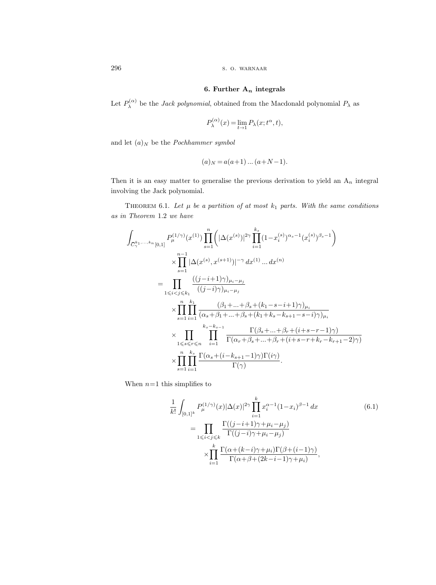## 6. Further  $A_n$  integrals

Let  $P_{\lambda}^{(\alpha)}$  $\lambda^{\alpha}$  be the *Jack polynomial*, obtained from the Macdonald polynomial  $P_{\lambda}$  as

$$
P_{\lambda}^{(\alpha)}(x) = \lim_{t \to 1} P_{\lambda}(x; t^{\alpha}, t),
$$

and let  $(a)_N$  be the *Pochhammer symbol* 

$$
(a)_N = a(a+1)\dots(a+N-1).
$$

Then it is an easy matter to generalise the previous derivation to yield an  $A_n$  integral involving the Jack polynomial.

THEOREM 6.1. Let  $\mu$  be a partition of at most  $k_1$  parts. With the same conditions as in Theorem 1.2 we have

$$
\int_{\overline{C}_{\gamma}^{k_1,...,k_n}[0,1]} P_{\mu}^{(1/\gamma)}(x^{(1)}) \prod_{s=1}^{n} (|\Delta(x^{(s)})|^{2\gamma} \prod_{i=1}^{k_s} (1-x_i^{(s)})^{\alpha_s-1} (x_i^{(s)})^{\beta_s-1})
$$
\n
$$
\times \prod_{s=1}^{n-1} |\Delta(x^{(s)}, x^{(s+1)})|^{-\gamma} dx^{(1)} ... dx^{(n)}
$$
\n
$$
= \prod_{1 \leq i < j \leq k_1} \frac{((j-i+1)\gamma)_{\mu_i - \mu_j}}{((j-i)\gamma)_{\mu_i - \mu_j}}
$$
\n
$$
\times \prod_{s=1}^{n} \prod_{i=1}^{k_1} \frac{(\beta_1+...+\beta_s+(k_1-s-i+1)\gamma)_{\mu_i}}{(\alpha_s+\beta_1+...+\beta_s+(k_1+k_s-k_{s+1}-s-i)\gamma)_{\mu_i}}
$$
\n
$$
\times \prod_{1 \leq s \leq r \leq n} \prod_{i=1}^{k_s-k_{s-1}} \frac{\Gamma(\beta_s+...+\beta_r+(i+s-r-1)\gamma)}{\Gamma(\alpha_r+\beta_s+...+\beta_r+(i+s-r+k_r-k_{r+1}-2)\gamma)}
$$
\n
$$
\times \prod_{s=1}^{n} \prod_{i=1}^{k_s} \frac{\Gamma(\alpha_s+(i-k_{s+1}-1)\gamma)\Gamma(i\gamma)}{\Gamma(\gamma)}.
$$

When  $n=1$  this simplifies to

$$
\frac{1}{k!} \int_{[0,1]^k} P_{\mu}^{(1/\gamma)}(x) |\Delta(x)|^{2\gamma} \prod_{i=1}^k x_i^{\alpha-1} (1-x_i)^{\beta-1} dx
$$
\n
$$
= \prod_{1 \le i < j \le k} \frac{\Gamma((j-i+1)\gamma + \mu_i - \mu_j)}{\Gamma((j-i)\gamma + \mu_i - \mu_j)}
$$
\n
$$
\times \prod_{i=1}^k \frac{\Gamma(\alpha + (k-i)\gamma + \mu_i)\Gamma(\beta + (i-1)\gamma)}{\Gamma(\alpha + \beta + (2k - i - 1)\gamma + \mu_i)},
$$
\n(6.1)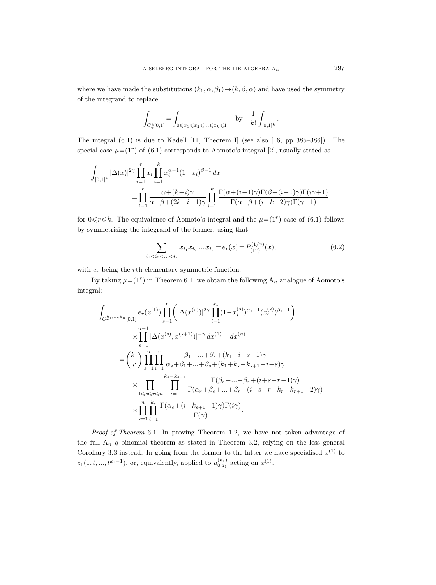where we have made the substitutions  $(k_1, \alpha, \beta_1) \mapsto (k, \beta, \alpha)$  and have used the symmetry of the integrand to replace

$$
\int_{\overline{C}_{\gamma}^k[0,1]} = \int_{0 \leqslant x_1 \leqslant x_2 \leqslant ... \leqslant x_k \leqslant 1} \quad \text{by} \quad \frac{1}{k!} \int_{[0,1]^k}.
$$

The integral (6.1) is due to Kadell [11, Theorem I] (see also [16, pp. 385–386]). The special case  $\mu = (1^r)$  of  $(6.1)$  corresponds to Aomoto's integral [2], usually stated as

$$
\int_{[0,1]^k} |\Delta(x)|^{2\gamma} \prod_{i=1}^r x_i \prod_{i=1}^k x_i^{\alpha-1} (1-x_i)^{\beta-1} dx
$$
  
= 
$$
\prod_{i=1}^r \frac{\alpha + (k-i)\gamma}{\alpha + \beta + (2k-i-1)\gamma} \prod_{i=1}^k \frac{\Gamma(\alpha + (i-1)\gamma)\Gamma(\beta + (i-1)\gamma)\Gamma(i\gamma+1)}{\Gamma(\alpha + \beta + (i+k-2)\gamma)\Gamma(\gamma+1)},
$$

for  $0 \le r \le k$ . The equivalence of Aomoto's integral and the  $\mu = (1^r)$  case of  $(6.1)$  follows by symmetrising the integrand of the former, using that

$$
\sum_{i_1 < i_2 < \ldots < i_r} x_{i_1} x_{i_2} \ldots x_{i_r} = e_r(x) = P_{(1^r)}^{(1/\gamma)}(x),\tag{6.2}
$$

with  $e_r$  being the rth elementary symmetric function.

By taking  $\mu = (1^r)$  in Theorem 6.1, we obtain the following  $A_n$  analogue of Aomoto's integral:

$$
\int_{\overline{C}_{\gamma}^{k_1,...,k_n}[0,1]} e_r(x^{(1)}) \prod_{s=1}^n \left( |\Delta(x^{(s)})|^{2\gamma} \prod_{i=1}^{k_s} (1-x_i^{(s)})^{\alpha_s-1} (x_i^{(s)})^{\beta_s-1} \right)
$$
\n
$$
\times \prod_{s=1}^{n-1} |\Delta(x^{(s)}, x^{(s+1)})|^{-\gamma} dx^{(1)} ... dx^{(n)}
$$
\n
$$
= \binom{k_1}{r} \prod_{s=1}^n \prod_{i=1}^r \frac{\beta_1 + ... + \beta_s + (k_1 - i - s + 1)\gamma}{\alpha_s + \beta_1 + ... + \beta_s + (k_1 + k_s - k_{s+1} - i - s)\gamma}
$$
\n
$$
\times \prod_{1 \le s \le r \le n} \prod_{i=1}^{k_s - k_{s-1}} \frac{\Gamma(\beta_s + ... + \beta_r + (i + s - r - 1)\gamma)}{\Gamma(\alpha_r + \beta_s + ... + \beta_r + (i + s - r + k_r - k_{r+1} - 2)\gamma)}
$$
\n
$$
\times \prod_{s=1}^n \prod_{i=1}^{k_s} \frac{\Gamma(\alpha_s + (i - k_{s+1} - 1)\gamma)\Gamma(i\gamma)}{\Gamma(\gamma)}.
$$

Proof of Theorem 6.1. In proving Theorem 1.2, we have not taken advantage of the full  $A_n$  q-binomial theorem as stated in Theorem 3.2, relying on the less general Corollary 3.3 instead. In going from the former to the latter we have specialised  $x^{(1)}$  to  $z_1(1, t, ..., t^{k_1-1})$ , or, equivalently, applied to  $u_{0;z_1}^{(k_1)}$  acting on  $x^{(1)}$ .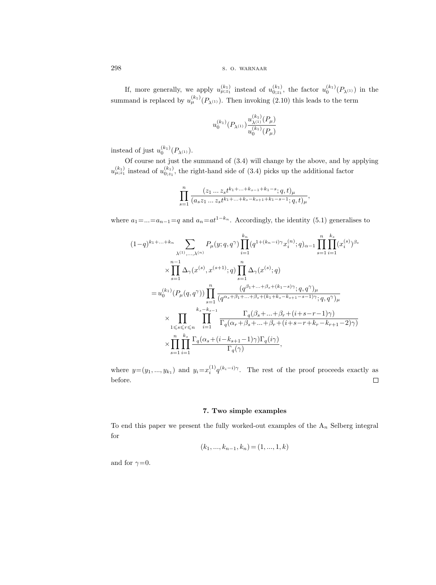If, more generally, we apply  $u_{\mu;z_1}^{(k_1)}$  instead of  $u_{0;z_1}^{(k_1)}$ , the factor  $u_0^{(k_1)}(P_{\lambda^{(1)}})$  in the summand is replaced by  $u_{\mu}^{(k_1)}(P_{\lambda^{(1)}})$ . Then invoking (2.10) this leads to the term

$$
u_0^{(k_1)}(P_{\lambda^{(1)}})\frac{u_{\lambda^{(1)}}^{(k_1)}(P_\mu)}{u_0^{(k_1)}(P_\mu)}
$$

instead of just  $u_0^{(k_1)}(P_{\lambda^{(1)}})$ .

Of course not just the summand of (3.4) will change by the above, and by applying  $u_{\mu;z_1}^{(k_1)}$  instead of  $u_{0;z_1}^{(k_1)}$ , the right-hand side of (3.4) picks up the additional factor

$$
\prod_{s=1}^n\frac{(z_1\ldots z_s t^{k_1+\ldots+k_{s-1}+k_1-s};q,t)_{\mu}}{(a_sz_1\ldots z_st^{k_1+\ldots+k_s-k_{s+1}+k_1-s-1};q,t)_{\mu}},
$$

where  $a_1 = ... = a_{n-1} = q$  and  $a_n = at^{1-k_n}$ . Accordingly, the identity (5.1) generalises to

$$
(1-q)^{k_1+\ldots+k_n} \sum_{\lambda^{(1)},\ldots,\lambda^{(n)}} P_{\mu}(y;q,q^{\gamma}) \prod_{i=1}^{k_n} (q^{1+(k_n-i)\gamma} x_i^{(n)}; q)_{\alpha-1} \prod_{s=1}^{n} \prod_{i=1}^{k_s} (x_i^{(s)})^{\beta_s}
$$
  

$$
\times \prod_{s=1}^{n-1} \Delta_{\gamma}(x^{(s)}, x^{(s+1)}; q) \prod_{s=1}^{n} \Delta_{\gamma}(x^{(s)}; q)
$$
  

$$
= u_0^{(k_1)} (P_{\mu}(q,q^{\gamma})) \prod_{s=1}^{n} \frac{(q^{\beta_1+\ldots+\beta_s+(k_1-s)\gamma}; q, q^{\gamma})_{\mu}}{(q^{\alpha_s+\beta_1+\ldots+\beta_s+(k_1+k_s-k_{s+1}-s-1)\gamma}; q, q^{\gamma})_{\mu}}
$$
  

$$
\times \prod_{1 \leq s \leq r \leq n} \prod_{i=1}^{k_s-k_{s-1}} \frac{\Gamma_q(\beta_s+\ldots+\beta_r+(i+s-r-1)\gamma)}{\Gamma_q(\alpha_r+\beta_s+\ldots+\beta_r+(i+s-r+k_r-k_{r+1}-2)\gamma)}
$$
  

$$
\times \prod_{s=1}^{n} \prod_{i=1}^{k_s} \frac{\Gamma_q(\alpha_s+(i-k_{s+1}-1)\gamma)\Gamma_q(i\gamma)}{\Gamma_q(\gamma)},
$$

where  $y=(y_1,...,y_{k_1})$  and  $y_i=x_i^{(1)}q^{(k_i-i)\gamma}$ . The rest of the proof proceeds exactly as before.  $\Box$ 

## 7. Two simple examples

To end this paper we present the fully worked-out examples of the  $A_n$  Selberg integral for

$$
(k_1, ..., k_{n-1}, k_n) = (1, ..., 1, k)
$$

and for  $\gamma=0$ .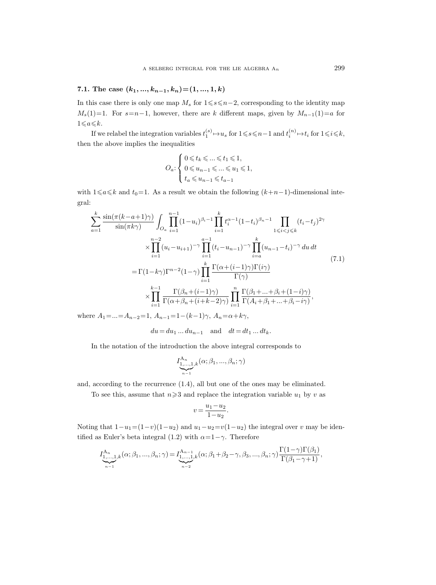## 7.1. The case  $(k_1, ..., k_{n-1}, k_n) = (1, ..., 1, k)$

In this case there is only one map  $M_s$  for  $1 \le s \le n-2$ , corresponding to the identity map  $M_s(1)=1$ . For  $s=n-1$ , however, there are k different maps, given by  $M_{n-1}(1)=a$  for  $1\!\leqslant\!a\!\leqslant\!k.$ 

If we relabel the integration variables  $t_1^{(s)} \mapsto u_s$  for  $1 \leq s \leq n-1$  and  $t_i^{(n)} \mapsto t_i$  for  $1 \leq i \leq k$ , then the above implies the inequalities

$$
O_a: \begin{cases} 0 \leqslant t_k \leqslant \ldots \leqslant t_1 \leqslant 1, \\ 0 \leqslant u_{n-1} \leqslant \ldots \leqslant u_1 \leqslant 1, \\ t_a \leqslant u_{n-1} \leqslant t_{a-1} \end{cases}
$$

with  $1\leq a\leq k$  and  $t_0=1$ . As a result we obtain the following  $(k+n-1)$ -dimensional integral:

$$
\sum_{a=1}^{k} \frac{\sin(\pi(k-a+1)\gamma)}{\sin(\pi k \gamma)} \int_{O_a} \prod_{i=1}^{n-1} (1-u_i)^{\beta_i-1} \prod_{i=1}^{k} t_i^{\alpha-1} (1-t_i)^{\beta_n-1} \prod_{1 \leq i < j \leq k} (t_i-t_j)^{2\gamma} \times \prod_{i=1}^{n-2} (u_i - u_{i+1})^{-\gamma} \prod_{i=1}^{n-1} (t_i - u_{n-1})^{-\gamma} \prod_{i=a}^{k} (u_{n-1}-t_i)^{-\gamma} du dt\n= \Gamma(1-k\gamma) \Gamma^{n-2} (1-\gamma) \prod_{i=1}^{k} \frac{\Gamma(\alpha+(i-1)\gamma)\Gamma(i\gamma)}{\Gamma(\gamma)} \times \prod_{i=1}^{k-1} \frac{\Gamma(\beta_n+(i-1)\gamma)}{\Gamma(\alpha+\beta_n+(i+k-2)\gamma)} \prod_{i=1}^{n} \frac{\Gamma(\beta_1+\ldots+\beta_i+(1-i)\gamma)}{\Gamma(A_i+\beta_1+\ldots+\beta_i-i\gamma)},
$$
\n(7.1)

where  $A_1 = ... = A_{n-2} = 1$ ,  $A_{n-1} = 1 - (k-1)\gamma$ ,  $A_n = \alpha + k\gamma$ ,

 $du = du_1 ... du_{n-1}$  and  $dt = dt_1 ... dt_k$ .

In the notation of the introduction the above integral corresponds to

$$
I^{A_n}_{\underbrace{1,\ldots,1}_{n-1},k}(\alpha;\beta_1,...,\beta_n;\gamma)
$$

and, according to the recurrence (1.4), all but one of the ones may be eliminated.

To see this, assume that  $n\geqslant 3$  and replace the integration variable  $u_1$  by v as

$$
v=\frac{u_1-u_2}{1-u_2}.
$$

Noting that  $1-u_1=(1-v)(1-u_2)$  and  $u_1-u_2=v(1-u_2)$  the integral over v may be identified as Euler's beta integral (1.2) with  $\alpha=1-\gamma$ . Therefore

$$
I_{\underset{n-1}{\underset{n-1}{\underset{n-1}{\underset{n-1}{\sum}}}}^{A_n}(\alpha;\beta_1,\ldots,\beta_n;\gamma) = I_{\underset{n-2}{\underset{n-2}{\underset{n-1}{\underset{n-1}{\underset{n-1}{\sum}}}}}(k;\beta_1+\beta_2-\gamma,\beta_3,\ldots,\beta_n;\gamma)\frac{\Gamma(1-\gamma)\Gamma(\beta_1)}{\Gamma(\beta_1-\gamma+1)},
$$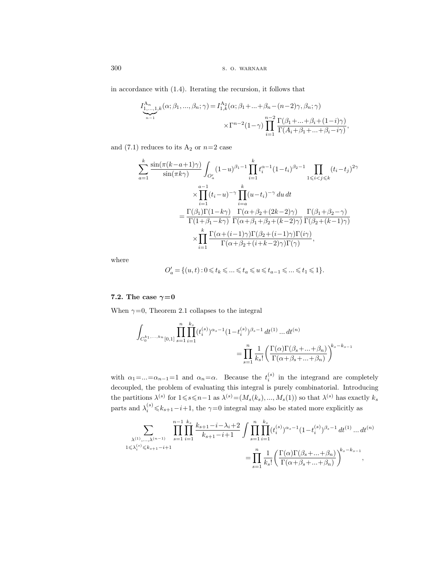in accordance with (1.4). Iterating the recursion, it follows that

$$
I_{\underbrace{1,\ldots,1}_{n-1},k}^{\mathbf{A}_{n}}(\alpha;\beta_{1},\ldots,\beta_{n};\gamma) = I_{1,k}^{\mathbf{A}_{2}}(\alpha;\beta_{1}+\ldots+\beta_{n}-(n-2)\gamma,\beta_{n};\gamma)
$$

$$
\times \Gamma^{n-2}(1-\gamma) \prod_{i=1}^{n-2} \frac{\Gamma(\beta_{1}+\ldots+\beta_{i}+(1-i)\gamma)}{\Gamma(A_{i}+\beta_{1}+\ldots+\beta_{i}-i\gamma)},
$$

and (7.1) reduces to its  $A_2$  or  $n=2$  case

$$
\sum_{a=1}^{k} \frac{\sin(\pi(k-a+1)\gamma)}{\sin(\pi k\gamma)} \int_{O_a'} (1-u)^{\beta_1-1} \prod_{i=1}^{k} t_i^{\alpha-1} (1-t_i)^{\beta_2-1} \prod_{1 \leq i < j \leq k} (t_i-t_j)^{2\gamma}
$$

$$
\times \prod_{i=1}^{a-1} (t_i-u)^{-\gamma} \prod_{i=a}^{k} (u-t_i)^{-\gamma} du dt
$$

$$
= \frac{\Gamma(\beta_1)\Gamma(1-k\gamma)}{\Gamma(1+\beta_1-k\gamma)} \frac{\Gamma(\alpha+\beta_2+(2k-2)\gamma)}{\Gamma(\alpha+\beta_1+\beta_2+(k-2)\gamma)} \frac{\Gamma(\beta_1+\beta_2-\gamma)}{\Gamma(\beta_2+(k-1)\gamma)}
$$

$$
\times \prod_{i=1}^{k} \frac{\Gamma(\alpha+(i-1)\gamma)\Gamma(\beta_2+(i-1)\gamma)\Gamma(i\gamma)}{\Gamma(\alpha+\beta_2+(i+k-2)\gamma)\Gamma(\gamma)},
$$

where

$$
O_a' = \{(u,t): 0 \leqslant t_k \leqslant \ldots \leqslant t_a \leqslant u \leqslant t_{a-1} \leqslant \ldots \leqslant t_1 \leqslant 1\}.
$$

## 7.2. The case  $\gamma=0$

When  $\gamma=0$ , Theorem 2.1 collapses to the integral

$$
\int_{C_0^{k_1,...,k_n}[0,1]} \prod_{s=1}^n \prod_{i=1}^{k_s} (t_i^{(s)})^{\alpha_s-1} (1-t_i^{(s)})^{\beta_s-1} dt^{(1)} \dots dt^{(n)}\n= \prod_{s=1}^n \frac{1}{k_s!} \left( \frac{\Gamma(\alpha)\Gamma(\beta_s+...+\beta_n)}{\Gamma(\alpha+\beta_s+...+\beta_n)} \right)^{k_s-k_{s-1}}
$$

with  $\alpha_1 = ... = \alpha_{n-1} = 1$  and  $\alpha_n = \alpha$ . Because the  $t_i^{(s)}$  in the integrand are completely decoupled, the problem of evaluating this integral is purely combinatorial. Introducing the partitions  $\lambda^{(s)}$  for  $1 \leqslant s \leqslant n-1$  as  $\lambda^{(s)} = (M_s(k_s), ..., M_s(1))$  so that  $\lambda^{(s)}$  has exactly  $k_s$ parts and  $\lambda_i^{(s)} \leq k_{s+1}-i+1$ , the  $\gamma=0$  integral may also be stated more explicitly as

$$
\sum_{\substack{\lambda^{(1)},\ldots,\lambda^{(n-1)}\\1\leqslant\lambda_i^{(s)}\leqslant k_{s+1}-i+1}}\prod_{s=1}^{n-1}\prod_{i=1}^{k_s}\frac{k_{s+1}-i-\lambda_i+2}{k_{s+1}-i+1}\int\prod_{s=1}^n\prod_{i=1}^{k_s}(t_i^{(s)})^{\alpha_s-1}(1-t_i^{(s)})^{\beta_s-1}\,dt^{(1)}\ldots dt^{(n)}\\=\prod_{s=1}^n\frac{1}{k_s!}\bigg(\frac{\Gamma(\alpha)\Gamma(\beta_s+\ldots+\beta_n)}{\Gamma(\alpha+\beta_s+\ldots+\beta_n)}\bigg)^{k_s-k_{s-1}},
$$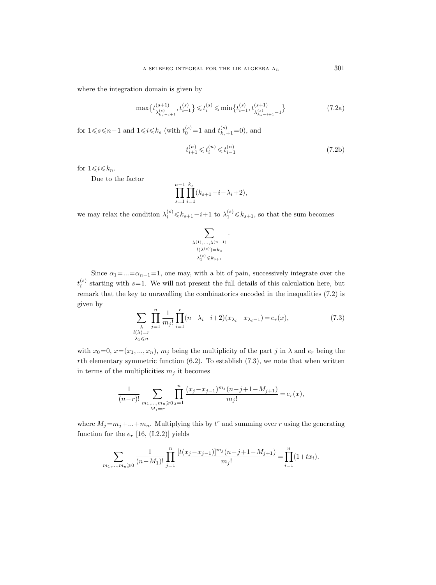where the integration domain is given by

$$
\max\{t_{\lambda_{k_s-i+1}^{(s)}},t_{i+1}^{(s)}\}\leqslant t_i^{(s)}\leqslant \min\{t_{i-1}^{(s)},t_{\lambda_{k_s-i+1}^{(s)}-1}^{(s+1)}\}\tag{7.2a}
$$

for  $1 \le s \le n-1$  and  $1 \le i \le k_s$  (with  $t_0^{(s)} = 1$  and  $t_{k_s+1}^{(s)} = 0$ ), and

$$
t_{i+1}^{(n)} \leqslant t_i^{(n)} \leqslant t_{i-1}^{(n)} \tag{7.2b}
$$

for  $1\leqslant i\leqslant k_n$ .

Due to the factor

$$
\prod_{s=1}^{n-1} \prod_{i=1}^{k_s} (k_{s+1} - i - \lambda_i + 2),
$$

we may relax the condition  $\lambda_i^{(s)} \leq k_{s+1}-i+1$  to  $\lambda_1^{(s)} \leq k_{s+1}$ , so that the sum becomes

$$
\sum_{\substack{\lambda^{(1)},\ldots,\lambda^{(n-1)}\\ l(\lambda^{(s)})=k_s\\ \lambda^{(s)}_1\leqslant k_{s+1}}}\cdot
$$

Since  $\alpha_1 = ... = \alpha_{n-1} = 1$ , one may, with a bit of pain, successively integrate over the  $t_i^{(s)}$  starting with s=1. We will not present the full details of this calculation here, but remark that the key to unravelling the combinatorics encoded in the inequalities (7.2) is given by

$$
\sum_{\substack{\lambda\\l(\lambda)=r}} \prod_{j=1}^n \frac{1}{m_j!} \prod_{i=1}^r (n-\lambda_i-i+2)(x_{\lambda_i}-x_{\lambda_i-1}) = e_r(x),\tag{7.3}
$$

with  $x_0=0, x=(x_1, ..., x_n), m_j$  being the multiplicity of the part j in  $\lambda$  and  $e_r$  being the rth elementary symmetric function  $(6.2)$ . To establish  $(7.3)$ , we note that when written in terms of the multiplicities  $m_j$  it becomes

$$
\frac{1}{(n-r)!}\sum_{\substack{m_1,\ldots,m_n\geqslant 0\\ M_1=r}}\prod_{j=1}^n\frac{(x_j-x_{j-1})^{m_j}(n-j+1-M_{j+1})}{m_j!}=e_r(x),
$$

where  $M_j = m_j + ... + m_n$ . Multiplying this by  $t^r$  and summing over r using the generating function for the  $e_r$  [16, (I.2.2)] yields

$$
\sum_{m_1,\dots,m_n\geqslant 0} \frac{1}{(n-M_1)!} \prod_{j=1}^n \frac{[t(x_j-x_{j-1})]^{m_j} (n-j+1-M_{j+1})}{m_j!} = \prod_{i=1}^n (1+tx_i).
$$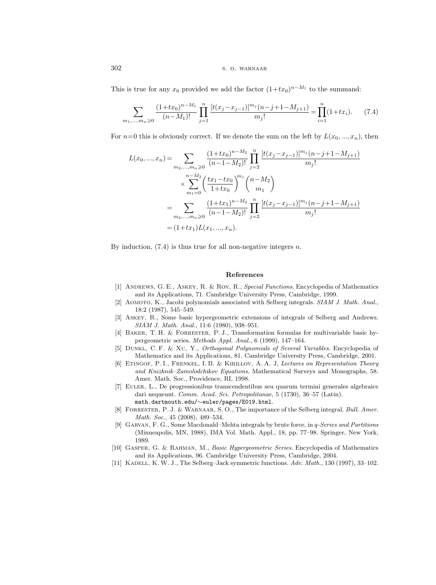This is true for any  $x_0$  provided we add the factor  $(1+tx_0)^{n-M_1}$  to the summand:

$$
\sum_{m_1,\dots,m_n\geqslant 0} \frac{(1+tx_0)^{n-M_1}}{(n-M_1)!} \prod_{j=1}^n \frac{[t(x_j-x_{j-1})]^{m_j} (n-j+1-M_{j+1})}{m_j!} = \prod_{i=1}^n (1+tx_i). \tag{7.4}
$$

For  $n=0$  this is obviously correct. If we denote the sum on the left by  $L(x_0, ..., x_n)$ , then

$$
L(x_0, ..., x_n) = \sum_{m_2, ..., m_n \geqslant 0} \frac{(1+tx_0)^{n-M_2}}{(n-1-M_2)!} \prod_{j=2}^n \frac{[t(x_j-x_{j-1})]^{m_j} (n-j+1-M_{j+1})}{m_j!}
$$
  

$$
\times \sum_{m_1=0}^{n-M_2} \left(\frac{tx_1-tx_0}{1+tx_0}\right)^{m_1} {n-M_2 \choose m_1}
$$
  

$$
= \sum_{m_2, ..., m_n \geqslant 0} \frac{(1+tx_1)^{n-M_2}}{(n-1-M_2)!} \prod_{j=2}^n \frac{[t(x_j-x_{j-1})]^{m_j} (n-j+1-M_{j+1})}{m_j!}
$$
  

$$
= (1+tx_1)L(x_1, ..., x_n).
$$

By induction,  $(7.4)$  is thus true for all non-negative integers n.

#### References

- [1] Andrews, G. E., Askey, R. & Roy, R., Special Functions. Encyclopedia of Mathematics and its Applications, 71. Cambridge University Press, Cambridge, 1999.
- [2] Aomoto, K., Jacobi polynomials associated with Selberg integrals. SIAM J. Math. Anal., 18:2 (1987), 545–549.
- [3] Askey, R., Some basic hypergeometric extensions of integrals of Selberg and Andrews. SIAM J. Math. Anal., 11:6 (1980), 938–951.
- [4] Baker, T. H. & Forrester, P. J., Transformation formulas for multivariable basic hypergeometric series. Methods Appl. Anal., 6 (1999), 147–164.
- [5] Dunkl, C. F. & Xu, Y., Orthogonal Polynomials of Several Variables. Encyclopedia of Mathematics and its Applications, 81. Cambridge University Press, Cambridge, 2001.
- [6] ETINGOF, P. I., FRENKEL, I. B. & KIRILLOV, A. A. J, Lectures on Representation Theory and Knizhnik–Zamolodchikov Equations. Mathematical Surveys and Monographs, 58. Amer. Math. Soc., Providence, RI, 1998.
- [7] Euler, L., De progressionibus transcendentibus seu quarum termini generales algebraice dari nequeunt. Comm. Acad. Sci. Petropolitanae, 5 (1730), 36–57 (Latin). math.dartmouth.edu/∼euler/pages/E019.html.
- [8] Forrester, P. J. & Warnaar, S. O., The importance of the Selberg integral. Bull. Amer. Math. Soc., 45 (2008), 489–534.
- [9] Garvan, F. G., Some Macdonald–Mehta integrals by brute force, in q-Series and Partitions (Minneapolis, MN, 1988), IMA Vol. Math. Appl., 18, pp. 77–98. Springer, New York, 1989.
- [10] Gasper, G. & Rahman, M., Basic Hypergeometric Series. Encyclopedia of Mathematics and its Applications, 96. Cambridge University Press, Cambridge, 2004.
- [11] KADELL, K. W. J., The Selberg–Jack symmetric functions. Adv. Math., 130 (1997), 33–102.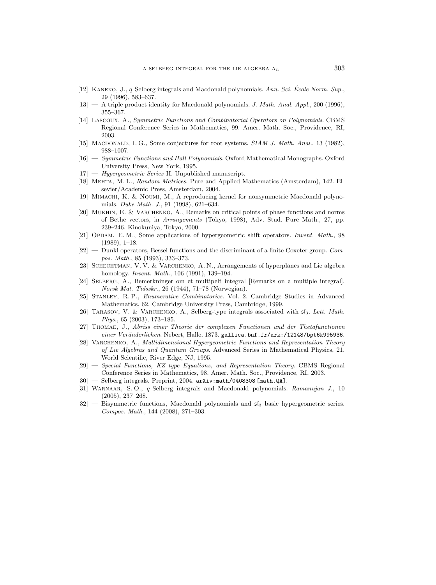- [12] KANEKO, J.,  $q$ -Selberg integrals and Macdonald polynomials. Ann. Sci. École Norm. Sup. 29 (1996), 583–637.
- $[13]$  A triple product identity for Macdonald polynomials. J. Math. Anal. Appl., 200 (1996), 355–367.
- [14] Lascoux, A., Symmetric Functions and Combinatorial Operators on Polynomials. CBMS Regional Conference Series in Mathematics, 99. Amer. Math. Soc., Providence, RI, 2003.
- [15] MACDONALD, I. G., Some conjectures for root systems. SIAM J. Math. Anal., 13 (1982), 988–1007.
- [16] Symmetric Functions and Hall Polynomials. Oxford Mathematical Monographs. Oxford University Press, New York, 1995.
- $[17]$  Hypergeometric Series II. Unpublished manuscript.
- [18] MEHTA, M. L., Random Matrices. Pure and Applied Mathematics (Amsterdam), 142. Elsevier/Academic Press, Amsterdam, 2004.
- [19] Mimachi, K. & Noumi, M., A reproducing kernel for nonsymmetric Macdonald polynomials. Duke Math. J., 91 (1998), 621–634.
- [20] Mukhin, E. & Varchenko, A., Remarks on critical points of phase functions and norms of Bethe vectors, in Arrangements (Tokyo, 1998), Adv. Stud. Pure Math., 27, pp. 239–246. Kinokuniya, Tokyo, 2000.
- [21] OPDAM, E. M., Some applications of hypergeometric shift operators. Invent. Math., 98 (1989), 1–18.
- $[22]$  Dunkl operators, Bessel functions and the discriminant of a finite Coxeter group. Compos. Math., 85 (1993), 333–373.
- [23] Schechtman, V. V. & Varchenko, A. N., Arrangements of hyperplanes and Lie algebra homology. Invent. Math., 106 (1991), 139–194.
- [24] Selberg, A., Bemerkninger om et multipelt integral [Remarks on a multiple integral]. Norsk Mat. Tidsskr., 26 (1944), 71–78 (Norwegian).
- [25] Stanley, R. P., Enumerative Combinatorics. Vol. 2. Cambridge Studies in Advanced Mathematics, 62. Cambridge University Press, Cambridge, 1999.
- [26] TARASOV, V. & VARCHENKO, A., Selberg-type integrals associated with  $\mathfrak{sl}_3$ . Lett. Math. Phys., 65 (2003), 173–185.
- [27] Thomae, J., Abriss einer Theorie der complexen Functionen und der Thetafunctionen einer Veränderlichen. Nebert, Halle, 1873. gallica.bnf.fr/ark:/12148/bpt6k995936.
- [28] VARCHENKO, A., Multidimensional Hypergeometric Functions and Representation Theory of Lie Algebras and Quantum Groups. Advanced Series in Mathematical Physics, 21. World Scientific, River Edge, NJ, 1995.
- [29] Special Functions, KZ type Equations, and Representation Theory. CBMS Regional Conference Series in Mathematics, 98. Amer. Math. Soc., Providence, RI, 2003.
- $[30]$  Selberg integrals. Preprint, 2004. arXiv:math/0408308 [math.QA].
- [31] WARNAAR, S.O., q-Selberg integrals and Macdonald polynomials. Ramanujan J., 10 (2005), 237–268.
- $[32]$  Bisymmetric functions, Macdonald polynomials and  $\mathfrak{sl}_3$  basic hypergeometric series. Compos. Math., 144 (2008), 271–303.